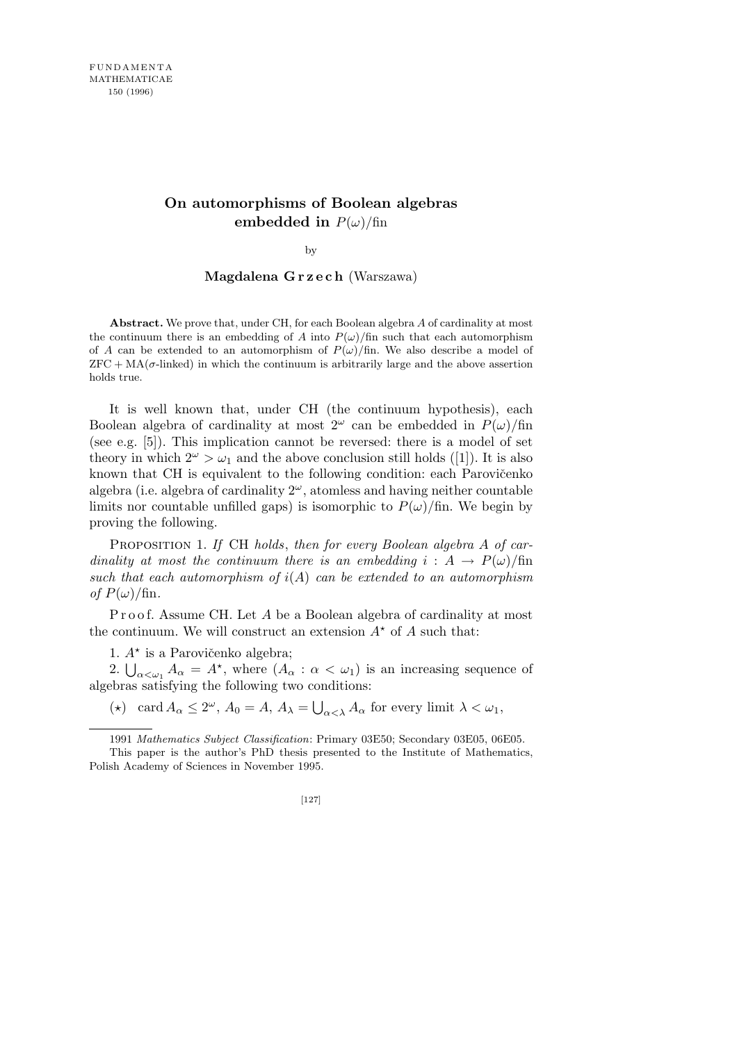## **On automorphisms of Boolean algebras embedded** in  $P(\omega)/\text{fin}$

by

## **Magdalena G r z e c h** (Warszawa)

**Abstract.** We prove that, under CH, for each Boolean algebra *A* of cardinality at most the continuum there is an embedding of *A* into  $P(\omega)/\text{fin}$  such that each automorphism of *A* can be extended to an automorphism of  $P(\omega)/\text{fin}$ . We also describe a model of  $ZFC + MA(\sigma$ -linked) in which the continuum is arbitrarily large and the above assertion holds true.

It is well known that, under CH (the continuum hypothesis), each Boolean algebra of cardinality at most  $2^{\omega}$  can be embedded in  $P(\omega)/\text{fin}$ (see e.g. [5]). This implication cannot be reversed: there is a model of set theory in which  $2^{\omega} > \omega_1$  and the above conclusion still holds ([1]). It is also known that CH is equivalent to the following condition: each Parovičenko algebra (i.e. algebra of cardinality 2*<sup>ω</sup>*, atomless and having neither countable limits nor countable unfilled gaps) is isomorphic to  $P(\omega)/\text{fin}$ . We begin by proving the following.

Proposition 1. *If* CH *holds*, *then for every Boolean algebra A of cardinality at most the continuum there is an embedding*  $i : A \rightarrow P(\omega)/\text{fin}$ *such that each automorphism of i*(*A*) *can be extended to an automorphism*  $of P(\omega)/\text{fin}.$ 

Proof. Assume CH. Let *A* be a Boolean algebra of cardinality at most the continuum. We will construct an extension  $A^*$  of  $A$  such that:

1.  $A^*$  is a Parovičenko algebra;

**2.**  $\bigcup_{\alpha < \omega_1} A_{\alpha} = A^*$ , where  $(A_{\alpha} : \alpha < \omega_1)$  is an increasing sequence of algebras satisfying the following two conditions:

(\*) card  $A_{\alpha} \leq 2^{\omega}$ ,  $A_0 = A$ ,  $A_{\lambda} = \bigcup$  $\alpha < \lambda$  *A*<sub>*α*</sub> for every limit  $\lambda < \omega_1$ ,

[127]

<sup>1991</sup> *Mathematics Subject Classification*: Primary 03E50; Secondary 03E05, 06E05. This paper is the author's PhD thesis presented to the Institute of Mathematics, Polish Academy of Sciences in November 1995.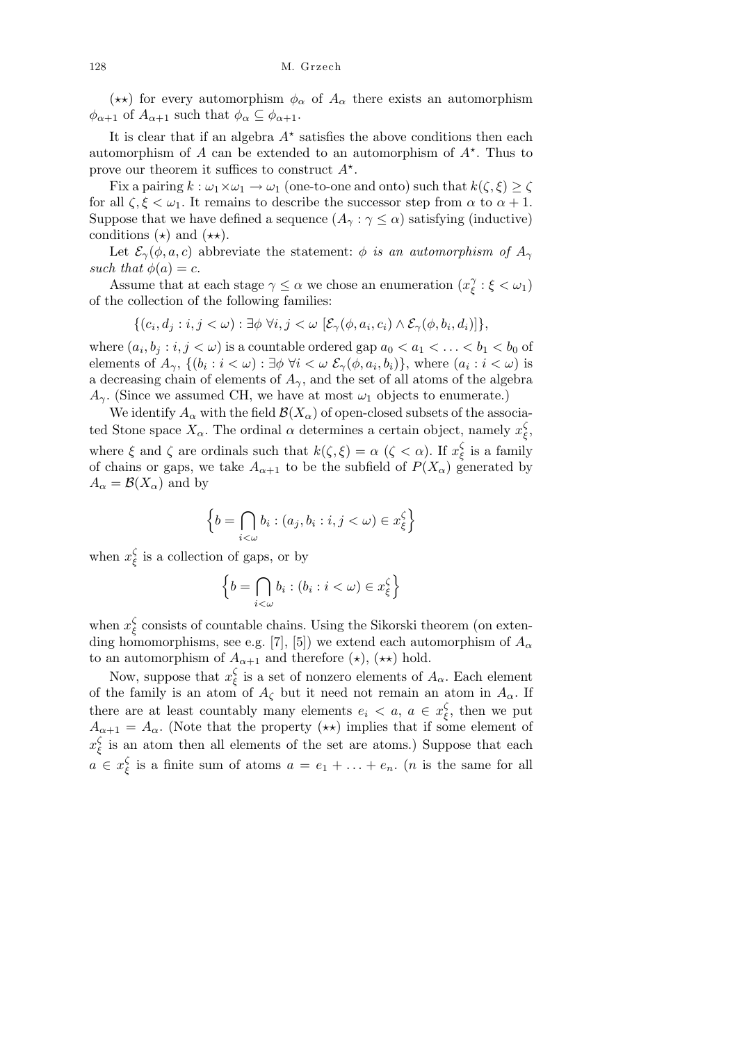(\*\*) for every automorphism  $\phi_{\alpha}$  of  $A_{\alpha}$  there exists an automorphism  $\phi_{\alpha+1}$  of  $A_{\alpha+1}$  such that  $\phi_{\alpha} \subseteq \phi_{\alpha+1}$ .

It is clear that if an algebra  $A^*$  satisfies the above conditions then each automorphism of  $A$  can be extended to an automorphism of  $A^*$ . Thus to prove our theorem it suffices to construct *A?* .

Fix a pairing  $k : \omega_1 \times \omega_1 \rightarrow \omega_1$  (one-to-one and onto) such that  $k(\zeta, \xi) \geq \zeta$ for all  $\zeta, \xi < \omega_1$ . It remains to describe the successor step from  $\alpha$  to  $\alpha + 1$ . Suppose that we have defined a sequence  $(A_\gamma : \gamma \leq \alpha)$  satisfying (inductive) conditions  $(\star)$  and  $(\star \star)$ .

Let  $\mathcal{E}_{\gamma}(\phi, a, c)$  abbreviate the statement:  $\phi$  *is an automorphism of*  $A_{\gamma}$ *such that*  $\phi(a) = c$ .

Assume that at each stage  $\gamma \leq \alpha$  we chose an enumeration  $(x)$ <sup>2</sup> *ξ* : *ξ < ω*1) of the collection of the following families:

$$
\{(c_i, d_j : i, j < \omega) : \exists \phi \; \forall i, j < \omega \; [\mathcal{E}_{\gamma}(\phi, a_i, c_i) \wedge \mathcal{E}_{\gamma}(\phi, b_i, d_i)]\},\
$$

where  $(a_i, b_j : i, j < \omega)$  is a countable ordered gap  $a_0 < a_1 < \ldots < b_1 < b_0$  of elements of  $A_{\gamma}$ ,  $\{(b_i : i < \omega) : \exists \phi \ \forall i < \omega \ \mathcal{E}_{\gamma}(\phi, a_i, b_i)\}\)$ , where  $(a_i : i < \omega)$  is a decreasing chain of elements of  $A_{\gamma}$ , and the set of all atoms of the algebra  $A_{\gamma}$ . (Since we assumed CH, we have at most  $\omega_1$  objects to enumerate.)

We identify  $A_\alpha$  with the field  $\mathcal{B}(X_\alpha)$  of open-closed subsets of the associated Stone space  $X_{\alpha}$ . The ordinal  $\alpha$  determines a certain object, namely  $x_{\varepsilon}^{\zeta}$ *ξ* , where  $\xi$  and  $\zeta$  are ordinals such that  $k(\zeta, \xi) = \alpha$  ( $\zeta < \alpha$ ). If  $x_{\xi}^{\zeta}$ *ξ* is a family of chains or gaps, we take  $A_{\alpha+1}$  to be the subfield of  $P(X_{\alpha})$  generated by  $A_{\alpha} = \mathcal{B}(X_{\alpha})$  and by

$$
\left\{b=\bigcap_{i<\omega}b_i:(a_j,b_i:i,j<\omega)\in x_{\xi}^{\zeta}\right\}
$$

when  $x_{\xi}^{\zeta}$ *ξ* is a collection of gaps, or by

$$
\left\{b=\bigcap_{i<\omega}b_i:(b_i:i<\omega)\in x_{\xi}^{\zeta}\right\}
$$

when  $x_{\epsilon}^{\zeta}$ *ξ* consists of countable chains. Using the Sikorski theorem (on extending homomorphisms, see e.g. [7], [5]) we extend each automorphism of  $A_\alpha$ to an automorphism of  $A_{\alpha+1}$  and therefore  $(\star)$ ,  $(\star \star)$  hold.

Now, suppose that *x ζ ξ* is a set of nonzero elements of *Aα*. Each element of the family is an atom of  $A_{\zeta}$  but it need not remain an atom in  $A_{\alpha}$ . If there are at least countably many elements  $e_i < a, a \in x_{\varepsilon}^{\zeta}$ *ξ* , then we put  $A_{\alpha+1} = A_{\alpha}$ . (Note that the property  $(\star \star)$  implies that if some element of *x ζ ξ* is an atom then all elements of the set are atoms.) Suppose that each  $a \in x_{\varepsilon}^{\zeta}$ *ξ* is a finite sum of atoms  $a = e_1 + \ldots + e_n$ . (*n* is the same for all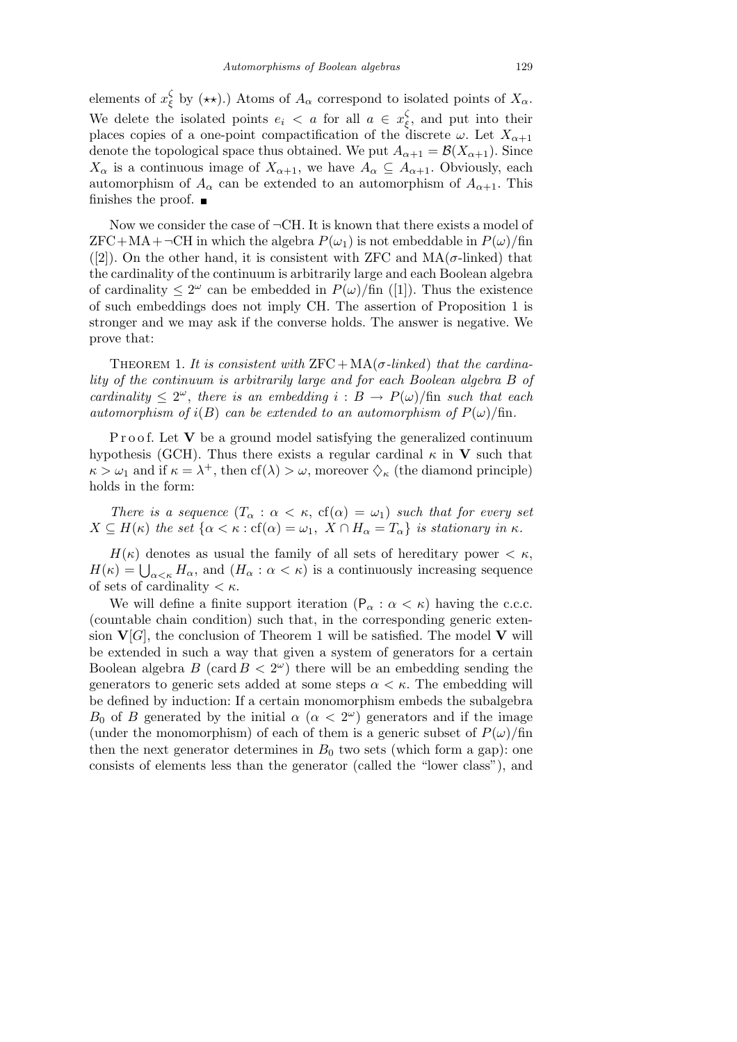elements of *x ζ*  $\frac{1}{2}$  by (\*\*).) Atoms of  $A_{\alpha}$  correspond to isolated points of  $X_{\alpha}$ . We delete the isolated points  $e_i < a$  for all  $a \in x_{\varepsilon}^{\zeta}$ *ξ* , and put into their places copies of a one-point compactification of the discrete  $\omega$ . Let  $X_{\alpha+1}$ denote the topological space thus obtained. We put  $A_{\alpha+1} = \mathcal{B}(X_{\alpha+1})$ . Since  $X_{\alpha}$  is a continuous image of  $X_{\alpha+1}$ , we have  $A_{\alpha} \subseteq A_{\alpha+1}$ . Obviously, each automorphism of  $A_{\alpha}$  can be extended to an automorphism of  $A_{\alpha+1}$ . This finishes the proof.  $\blacksquare$ 

Now we consider the case of *¬*CH. It is known that there exists a model of  $ZFC+MA+\neg CH$  in which the algebra  $P(\omega_1)$  is not embeddable in  $P(\omega)/\text{fin}$ ([2]). On the other hand, it is consistent with ZFC and  $MA(\sigma\text{-linked})$  that the cardinality of the continuum is arbitrarily large and each Boolean algebra of cardinality  $\leq 2^{\omega}$  can be embedded in  $P(\omega)/\text{fin}$  ([1]). Thus the existence of such embeddings does not imply CH. The assertion of Proposition 1 is stronger and we may ask if the converse holds. The answer is negative. We prove that:

THEOREM 1. It is consistent with  $\text{ZFC} + \text{MA}(\sigma\text{-linked})$  that the cardina*lity of the continuum is arbitrarily large and for each Boolean algebra B of cardinality*  $\leq 2^{\omega}$ , *there is an embedding*  $i : B \to P(\omega)/\text{fin}$  *such that each automorphism of*  $i(B)$  *can be extended to an automorphism of*  $P(\omega)/\text{fin}$ *.* 

Proof. Let **V** be a ground model satisfying the generalized continuum hypothesis (GCH). Thus there exists a regular cardinal  $\kappa$  in **V** such that  $\kappa > \omega_1$  and if  $\kappa = \lambda^+$ , then cf( $\lambda$ )  $> \omega$ , moreover  $\Diamond_{\kappa}$  (the diamond principle) holds in the form:

*There is a sequence*  $(T_\alpha : \alpha < \kappa, \text{cf}(\alpha) = \omega_1)$  *such that for every set*  $X \subseteq H(\kappa)$  *the set*  $\{\alpha < \kappa : \text{cf}(\alpha) = \omega_1, X \cap H_\alpha = T_\alpha\}$  *is stationary in*  $\kappa$ *.* 

 $H(\kappa)$  denotes as usual the family of all sets of hereditary power  $\lt \kappa$ ,  $H(\kappa)$  denotes as usual the lamity of an sets of hereditary power  $\langle \kappa, H(\kappa) = \bigcup_{\alpha \leq \kappa} H_{\alpha}$ , and  $(H_{\alpha} : \alpha \leq \kappa)$  is a continuously increasing sequence of sets of cardinality *< κ*.

We will define a finite support iteration  $(P_{\alpha}: \alpha < \kappa)$  having the c.c.c. (countable chain condition) such that, in the corresponding generic extension  $\mathbf{V}[G]$ , the conclusion of Theorem 1 will be satisfied. The model  $\mathbf{V}$  will be extended in such a way that given a system of generators for a certain Boolean algebra  $B$  (card  $B < 2^{\omega}$ ) there will be an embedding sending the generators to generic sets added at some steps  $\alpha < \kappa$ . The embedding will be defined by induction: If a certain monomorphism embeds the subalgebra *B*<sub>0</sub> of *B* generated by the initial  $\alpha$  ( $\alpha < 2^{\omega}$ ) generators and if the image (under the monomorphism) of each of them is a generic subset of  $P(\omega)/\text{fin}$ then the next generator determines in  $B_0$  two sets (which form a gap): one consists of elements less than the generator (called the "lower class"), and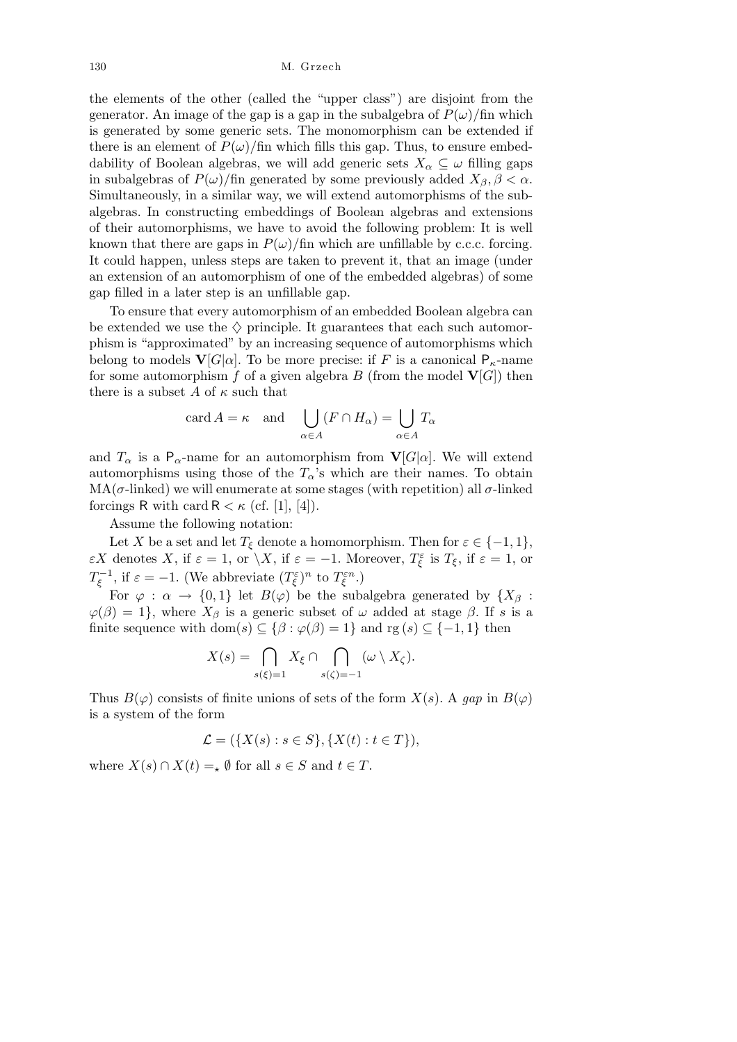130 M. Grzech

the elements of the other (called the "upper class") are disjoint from the generator. An image of the gap is a gap in the subalgebra of  $P(\omega)/\text{fin}$  which is generated by some generic sets. The monomorphism can be extended if there is an element of  $P(\omega)/\text{fin}$  which fills this gap. Thus, to ensure embeddability of Boolean algebras, we will add generic sets  $X_\alpha \subseteq \omega$  filling gaps in subalgebras of  $P(\omega)/\text{fin}$  generated by some previously added  $X_{\beta}, \beta < \alpha$ . Simultaneously, in a similar way, we will extend automorphisms of the subalgebras. In constructing embeddings of Boolean algebras and extensions of their automorphisms, we have to avoid the following problem: It is well known that there are gaps in  $P(\omega)/\text{fin}$  which are unfillable by c.c.c. forcing. It could happen, unless steps are taken to prevent it, that an image (under an extension of an automorphism of one of the embedded algebras) of some gap filled in a later step is an unfillable gap.

To ensure that every automorphism of an embedded Boolean algebra can be extended we use the  $\Diamond$  principle. It guarantees that each such automorphism is "approximated" by an increasing sequence of automorphisms which belong to models  $\mathbf{V}[G|\alpha]$ . To be more precise: if *F* is a canonical  $P_k$ -name for some automorphism  $f$  of a given algebra  $B$  (from the model  $\mathbf{V}[G]$ ) then there is a subset A of  $\kappa$  such that

$$
\operatorname{card} A = \kappa \quad \text{and} \quad \bigcup_{\alpha \in A} (F \cap H_{\alpha}) = \bigcup_{\alpha \in A} T_{\alpha}
$$

and  $T_{\alpha}$  is a P<sub>α</sub>-name for an automorphism from  $\mathbf{V}[G|\alpha]$ . We will extend automorphisms using those of the  $T_{\alpha}$ 's which are their names. To obtain MA( $\sigma$ -linked) we will enumerate at some stages (with repetition) all  $\sigma$ -linked forcings R with card  $R < \kappa$  (cf. [1], [4]).

Assume the following notation:

Let *X* be a set and let  $T_{\xi}$  denote a homomorphism. Then for  $\varepsilon \in \{-1, 1\}$ , *εX* denotes *X*, if  $\varepsilon = 1$ , or  $\setminus X$ , if  $\varepsilon = -1$ . Moreover,  $T_{\xi}^{\varepsilon}$  is  $T_{\xi}$ , if  $\varepsilon = 1$ , or *T*<sub>*ξ*</sub><sup>-1</sup>, if  $\varepsilon = -1$ . (We abbreviate  $(T_{\xi}^{\varepsilon})^n$  to  $T_{\xi}^{\varepsilon n}$ .)

For  $\varphi : \alpha \to \{0,1\}$  let  $B(\varphi)$  be the subalgebra generated by  $\{X_\beta :$  $\varphi(\beta) = 1$ , where  $X_{\beta}$  is a generic subset of *ω* added at stage  $\beta$ . If *s* is a finite sequence with dom(*s*)  $\subseteq$  { $\beta$  :  $\varphi(\beta) = 1$ } and rg (*s*)  $\subseteq$  {-1, 1} then

$$
X(s) = \bigcap_{s(\xi)=1} X_{\xi} \cap \bigcap_{s(\zeta)=-1} (\omega \setminus X_{\zeta}).
$$

Thus  $B(\varphi)$  consists of finite unions of sets of the form  $X(s)$ . A gap in  $B(\varphi)$ is a system of the form

$$
\mathcal{L} = (\{X(s) : s \in S\}, \{X(t) : t \in T\}),
$$

where  $X(s) \cap X(t) = X$  (*t*) for all  $s \in S$  and  $t \in T$ .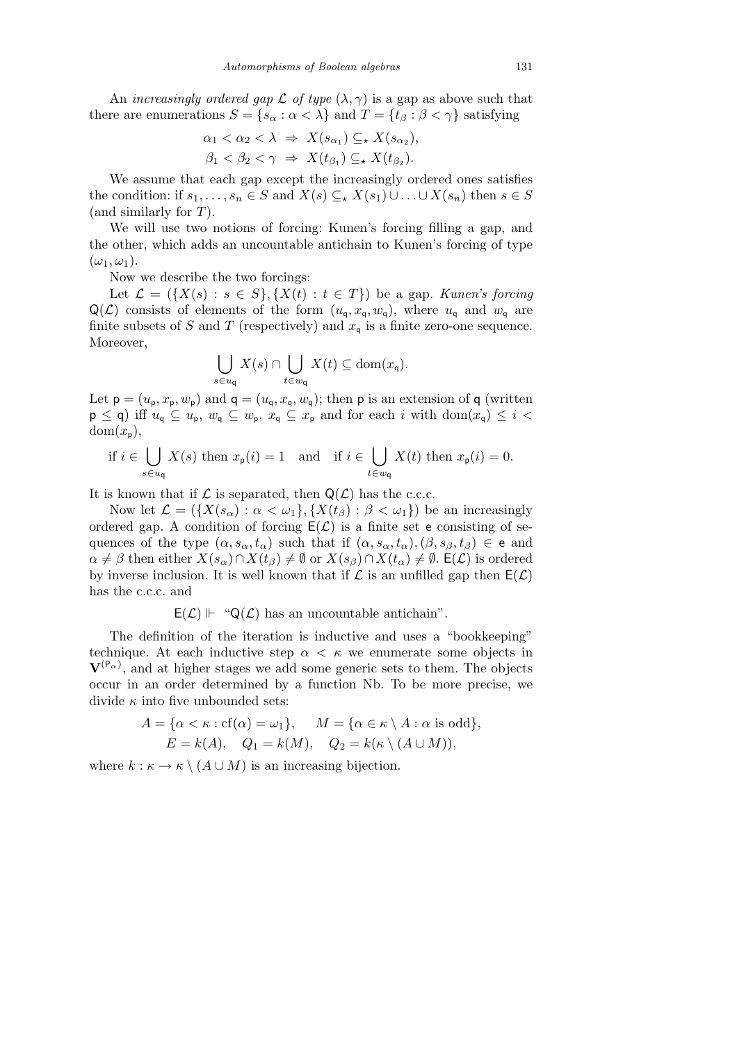An *increasingly ordered gap*  $\mathcal L$  *of type*  $(\lambda, \gamma)$  is a gap as above such that there are enumerations  $S = \{s_\alpha : \alpha < \lambda\}$  and  $T = \{t_\beta : \beta < \gamma\}$  satisfying

$$
\alpha_1 < \alpha_2 < \lambda \Rightarrow X(s_{\alpha_1}) \subseteq \star X(s_{\alpha_2}),
$$
\n
$$
\beta_1 < \beta_2 < \gamma \Rightarrow X(t_{\beta_1}) \subseteq \star X(t_{\beta_2}).
$$

We assume that each gap except the increasingly ordered ones satisfies the condition: if  $s_1, \ldots, s_n \in S$  and  $X(s) \subseteq X(s_1) \cup \ldots \cup X(s_n)$  then  $s \in S$ (and similarly for *T*).

We will use two notions of forcing: Kunen's forcing filling a gap, and the other, which adds an uncountable antichain to Kunen's forcing of type  $(\omega_1, \omega_1).$ 

Now we describe the two forcings:

Let  $\mathcal{L} = (\{X(s): s \in S\}, \{X(t): t \in T\})$  be a gap. *Kunen's forcing*  $Q(\mathcal{L})$  consists of elements of the form  $(u_q, x_q, w_q)$ , where  $u_q$  and  $w_q$  are finite subsets of *S* and *T* (respectively) and  $x_q$  is a finite zero-one sequence. Moreover,  $\mathbf{r}$  $\mathbf{r}$ 

$$
\bigcup_{s\in u_{\mathsf{q}}} X(s) \cap \bigcup_{t\in w_{\mathsf{q}}} X(t) \subseteq \text{dom}(x_{\mathsf{q}}).
$$

Let  $\mathbf{p} = (u_{\mathbf{p}}, x_{\mathbf{p}}, w_{\mathbf{p}})$  and  $\mathbf{q} = (u_{\mathbf{q}}, x_{\mathbf{q}}, w_{\mathbf{q}})$ ; then  $\mathbf{p}$  is an extension of  $\mathbf{q}$  (written  $p \le q$ ) iff  $u_q \subseteq u_p$ ,  $w_q \subseteq w_p$ ,  $x_q \subseteq x_p$  and for each *i* with dom $(x_q) \le i <$  $dom(x_n),$ 

if 
$$
i \in \bigcup_{s \in u_q} X(s)
$$
 then  $x_p(i) = 1$  and if  $i \in \bigcup_{t \in w_q} X(t)$  then  $x_p(i) = 0$ .

It is known that if  $\mathcal L$  is separated, then  $\mathsf Q(\mathcal L)$  has the c.c.c.

Now let  $\mathcal{L} = (\{X(s_\alpha): \alpha < \omega_1\}, \{X(t_\beta): \beta < \omega_1\})$  be an increasingly ordered gap. A condition of forcing  $E(\mathcal{L})$  is a finite set e consisting of sequences of the type  $(\alpha, s_\alpha, t_\alpha)$  such that if  $(\alpha, s_\alpha, t_\alpha), (\beta, s_\beta, t_\beta) \in \mathbf{e}$  and  $\alpha \neq \beta$  then either  $X(s_\alpha) \cap X(t_\beta) \neq \emptyset$  or  $X(s_\beta) \cap X(t_\alpha) \neq \emptyset$ .  $\mathsf{E}(\mathcal{L})$  is ordered by inverse inclusion. It is well known that if  $\mathcal L$  is an unfilled gap then  $E(\mathcal L)$ has the c.c.c. and

 $E(\mathcal{L})$   $\vdash$  "Q( $\mathcal{L}$ ) has an uncountable antichain".

The definition of the iteration is inductive and uses a "bookkeeping" technique. At each inductive step  $\alpha < \kappa$  we enumerate some objects in  $V^{(P_\alpha)}$ , and at higher stages we add some generic sets to them. The objects occur in an order determined by a function Nb. To be more precise, we divide *κ* into five unbounded sets:

$$
A = \{ \alpha < \kappa : \text{cf}(\alpha) = \omega_1 \}, \quad M = \{ \alpha \in \kappa \setminus A : \alpha \text{ is odd} \},
$$
\n
$$
E = k(A), \quad Q_1 = k(M), \quad Q_2 = k(\kappa \setminus (A \cup M)),
$$

where  $k : \kappa \to \kappa \setminus (A \cup M)$  is an increasing bijection.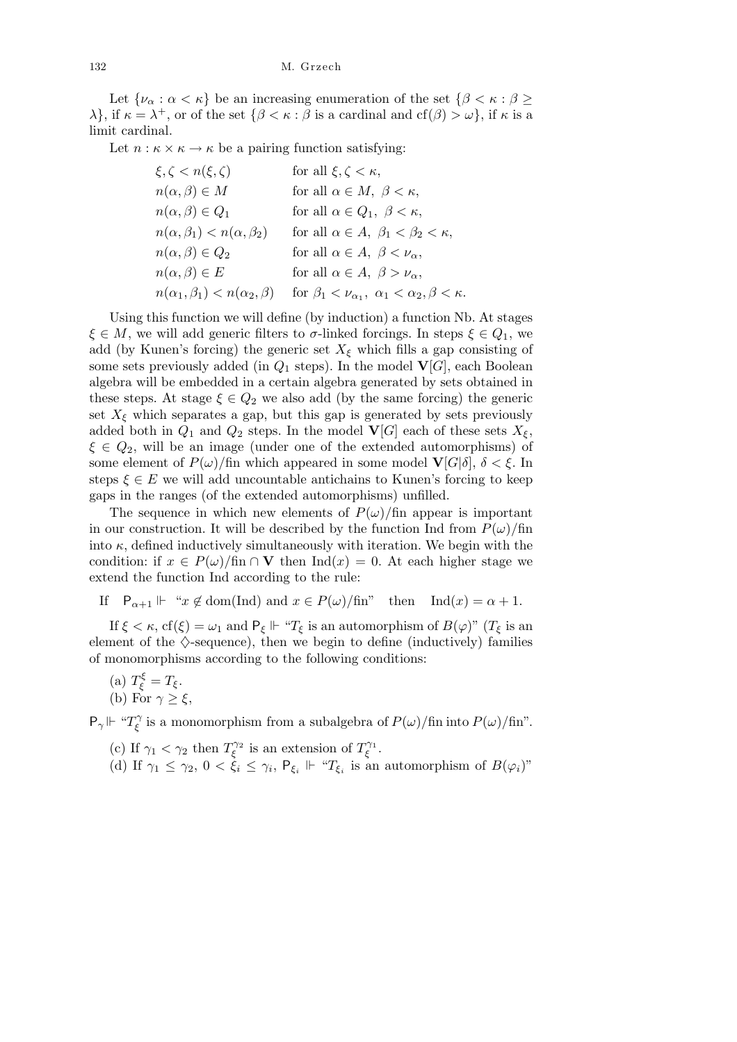Let  $\{\nu_{\alpha} : \alpha < \kappa\}$  be an increasing enumeration of the set  $\{\beta < \kappa : \beta \geq \kappa\}$ *λ*<sup>*}*</sup>, if  $κ = λ^+$ , or of the set  ${β < κ : β$  is a cardinal and cf(*β*)  $> ω$ *}*, if *κ* is a limit cardinal.

Let  $n : \kappa \times \kappa \to \kappa$  be a pairing function satisfying:

| $\xi, \zeta < n(\xi, \zeta)$              | for all $\xi, \zeta < \kappa$ ,                                        |
|-------------------------------------------|------------------------------------------------------------------------|
| $n(\alpha, \beta) \in M$                  | for all $\alpha \in M$ , $\beta < \kappa$ ,                            |
| $n(\alpha, \beta) \in Q_1$                | for all $\alpha \in Q_1$ , $\beta < \kappa$ ,                          |
| $n(\alpha, \beta_1) < n(\alpha, \beta_2)$ | for all $\alpha \in A$ , $\beta_1 < \beta_2 < \kappa$ ,                |
| $n(\alpha, \beta) \in Q_2$                | for all $\alpha \in A$ , $\beta < \nu_{\alpha}$ ,                      |
| $n(\alpha, \beta) \in E$                  | for all $\alpha \in A$ , $\beta > \nu_{\alpha}$ ,                      |
| $n(\alpha_1,\beta_1) < n(\alpha_2,\beta)$ | for $\beta_1 < \nu_{\alpha_1}, \ \alpha_1 < \alpha_2, \beta < \kappa.$ |

Using this function we will define (by induction) a function Nb. At stages *ξ*  $∈$  *M*, we will add generic filters to *σ*-linked forcings. In steps  $ξ ∈ Q_1$ , we add (by Kunen's forcing) the generic set  $X_{\xi}$  which fills a gap consisting of some sets previously added (in  $Q_1$  steps). In the model  $\mathbf{V}[G]$ , each Boolean algebra will be embedded in a certain algebra generated by sets obtained in these steps. At stage  $\xi \in Q_2$  we also add (by the same forcing) the generic set  $X_{\xi}$  which separates a gap, but this gap is generated by sets previously added both in  $Q_1$  and  $Q_2$  steps. In the model  $\mathbf{V}[G]$  each of these sets  $X_{\xi}$ , *ξ ∈ Q*2, will be an image (under one of the extended automorphisms) of some element of  $P(\omega)/\text{fin}$  which appeared in some model  $\mathbf{V}[G|\delta], \delta \leq \xi$ . In steps  $\xi \in E$  we will add uncountable antichains to Kunen's forcing to keep gaps in the ranges (of the extended automorphisms) unfilled.

The sequence in which new elements of  $P(\omega)/\text{fin}$  appear is important in our construction. It will be described by the function Ind from  $P(\omega)/\text{fin}$ into  $\kappa$ , defined inductively simultaneously with iteration. We begin with the condition: if  $x \in P(\omega)/\text{fin } \cap \mathbf{V}$  then  $\text{Ind}(x) = 0$ . At each higher stage we extend the function Ind according to the rule:

If  $P_{\alpha+1} \Vdash "x \notin \text{dom}(\text{Ind})$  and  $x \in P(\omega)/\text{fin}$ " then  $\text{Ind}(x) = \alpha + 1$ .

If  $\xi < \kappa$ , cf( $\xi$ ) =  $\omega_1$  and  $P_\xi \Vdash "T_\xi$  is an automorphism of  $B(\varphi)$ " ( $T_\xi$  is an element of the  $\Diamond$ -sequence), then we begin to define (inductively) families of monomorphisms according to the following conditions:

(a)  $T_{\xi}^{\xi} = T_{\xi}$ . (b) For *γ ≥ ξ*,

 $P_{\gamma}$ |  $\vdash$  " $T_{\varepsilon}^{\gamma}$ *ξ*<sup> $\gamma$ </sup> is a monomorphism from a subalgebra of  $P(\omega)/\text{fin}$  into  $P(\omega)/\text{fin}$ ".

- (c) If  $\gamma_1 < \gamma_2$  then  $T_{\xi}^{\gamma_2}$  is an extension of  $T_{\xi}^{\gamma_1}$ .
- (d) If  $\gamma_1 \leq \gamma_2$ ,  $0 < \xi_i \leq \gamma_i$ ,  $P_{\xi_i} \Vdash "T_{\xi_i}$  is an automorphism of  $B(\varphi_i)$ "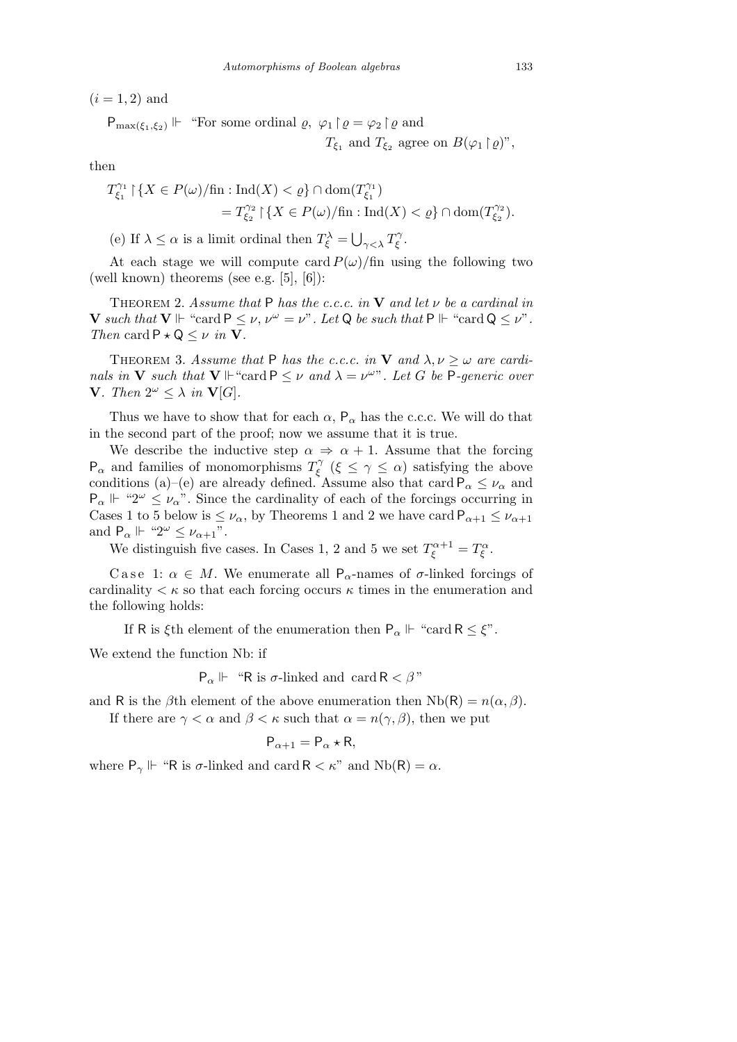$(i = 1, 2)$  and

$$
\mathsf{P}_{\max(\xi_1,\xi_2)} \Vdash \text{``For some ordinal } \varrho, \varphi_1 \upharpoonright \varrho = \varphi_2 \upharpoonright \varrho \text{ and }
$$
  

$$
T_{\xi_1} \text{ and } T_{\xi_2} \text{ agree on } B(\varphi_1 \upharpoonright \varrho)^{\prime\prime},
$$

then

$$
T_{\xi_1}^{\gamma_1} \upharpoonright \{ X \in P(\omega) / \text{fin} : \text{Ind}(X) < \varrho \} \cap \text{dom}(T_{\xi_1}^{\gamma_1})
$$
\n
$$
= T_{\xi_2}^{\gamma_2} \upharpoonright \{ X \in P(\omega) / \text{fin} : \text{Ind}(X) < \varrho \} \cap \text{dom}(T_{\xi_2}^{\gamma_2}).
$$
\n
$$
\text{for all } \xi_1, \dots, \xi_n \text{ and } \xi_n \in \text{Hom}(T_{\xi_1}^{\gamma_1})
$$

(e) If  $\lambda \leq \alpha$  is a limit ordinal then  $T_{\xi}^{\lambda}$  = *γ<λ T γ ξ* .

At each stage we will compute card  $P(\omega)/\text{fin}$  using the following two (well known) theorems (see e.g. [5], [6]):

Theorem 2. *Assume that* P *has the c.c.c. in* **V** *and let ν be a cardinal in* **V** such that  $\mathbf{V} \Vdash$  "card  $\mathbf{P} \leq \nu, \nu^{\omega} = \nu$ ". Let  $\mathbf{Q}$  be such that  $\mathbf{P} \Vdash$  "card  $\mathbf{Q} \leq \nu^{\omega}$ . *Then* card  $P \star Q \leq \nu$  *in* **V**.

THEOREM 3. Assume that P has the c.c.c. in V and  $\lambda, \nu \geq \omega$  are cardi*nals in* **V** *such that*  $V \Vdash ``card P \leq \nu$  *and*  $\lambda = \nu^{\omega}$ "*. Let G be* P-generic over  $V$ *. Then*  $2^{\omega} \leq \lambda$  *in*  $V[G]$ *.* 

Thus we have to show that for each  $\alpha$ ,  $P_{\alpha}$  has the c.c.c. We will do that in the second part of the proof; now we assume that it is true.

We describe the inductive step  $\alpha \Rightarrow \alpha + 1$ . Assume that the forcing  $P_{\alpha}$  and families of monomorphisms  $T_{\epsilon}^{\gamma}$ *ξ* (*ξ ≤ γ ≤ α*) satisfying the above conditions (a)–(e) are already defined. Assume also that card  $P_{\alpha} \leq \nu_{\alpha}$  and  $P_{\alpha} \Vdash \text{``}2^{\omega} \leq \nu_{\alpha}$ ". Since the cardinality of each of the forcings occurring in Cases 1 to 5 below is  $\leq \nu_\alpha$ , by Theorems 1 and 2 we have card  $P_{\alpha+1} \leq \nu_{\alpha+1}$ and  $P_{\alpha} \Vdash \text{``} 2^{\omega} \leq \nu_{\alpha+1}$ ".

We distinguish five cases. In Cases 1, 2 and 5 we set  $T_{\xi}^{\alpha+1} = T_{\xi}^{\alpha}$ .

C a se 1:  $\alpha \in M$ . We enumerate all P<sub> $\alpha$ </sub>-names of  $\sigma$ -linked forcings of cardinality  $\lt \kappa$  so that each forcing occurs  $\kappa$  times in the enumeration and the following holds:

If R is *ξ*th element of the enumeration then  $P_\alpha \Vdash \text{``card } R \leq \xi$ ".

We extend the function Nb: if

 $P_{\alpha} \Vdash$  "R is  $\sigma$ -linked and card R <  $\beta$ "

and R is the *β*th element of the above enumeration then  $Nb(R) = n(\alpha, \beta)$ . If there are  $\gamma < \alpha$  and  $\beta < \kappa$  such that  $\alpha = n(\gamma, \beta)$ , then we put

$$
P_{\alpha+1} = P_{\alpha} \star R,
$$

where  $P_\gamma \Vdash$  "R is  $\sigma$ -linked and card  $R < \kappa$ " and Nb(R) =  $\alpha$ .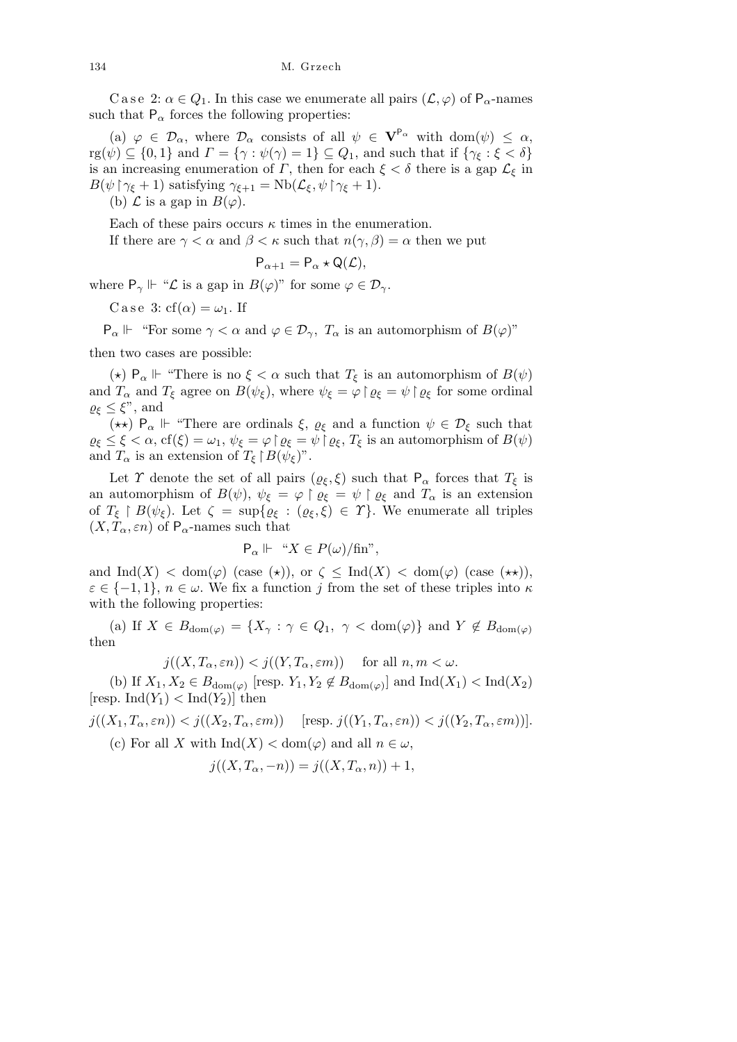C a se 2:  $\alpha \in Q_1$ . In this case we enumerate all pairs  $(\mathcal{L}, \varphi)$  of  $P_\alpha$ -names such that  $P_\alpha$  forces the following properties:

(a)  $\varphi \in \mathcal{D}_{\alpha}$ , where  $\mathcal{D}_{\alpha}$  consists of all  $\psi \in V^{P_{\alpha}}$  with dom( $\psi$ )  $\leq \alpha$ ,  $\operatorname{rg}(\psi) \subseteq \{0,1\}$  and  $\Gamma = \{\gamma : \psi(\gamma) = 1\} \subseteq Q_1$ , and such that if  $\{\gamma_{\xi} : \xi < \delta\}$ is an increasing enumeration of *Γ*, then for each  $\xi < \delta$  there is a gap  $\mathcal{L}_{\xi}$  in *B*( $\psi \upharpoonright \gamma_{\xi} + 1$ ) satisfying  $\gamma_{\xi+1} = \text{Nb}(\mathcal{L}_{\xi}, \psi \upharpoonright \gamma_{\xi} + 1)$ .

(b)  $\mathcal L$  is a gap in  $B(\varphi)$ .

Each of these pairs occurs  $\kappa$  times in the enumeration.

If there are  $\gamma < \alpha$  and  $\beta < \kappa$  such that  $n(\gamma, \beta) = \alpha$  then we put

$$
\mathsf{P}_{\alpha+1} = \mathsf{P}_{\alpha} \star \mathsf{Q}(\mathcal{L}),
$$

where  $P_{\gamma} \Vdash \text{``$\mathcal{L}$ is a gap in $B(\varphi)$''}$  for some  $\varphi \in \mathcal{D}_{\gamma}$ .

C a se 3:  $cf(\alpha) = \omega_1$ . If

 $P_{\alpha}$  <sup> $\Vdash$ </sup> "For some  $\gamma < \alpha$  and  $\varphi \in \mathcal{D}_{\gamma}$ ,  $T_{\alpha}$  is an automorphism of  $B(\varphi)$ " then two cases are possible:

(\*)  $P_\alpha \Vdash$  "There is no  $\xi < \alpha$  such that  $T_\xi$  is an automorphism of  $B(\psi)$ and  $T_{\alpha}$  and  $T_{\xi}$  agree on  $B(\psi_{\xi})$ , where  $\psi_{\xi} = \varphi \upharpoonright \varrho_{\xi} = \psi \upharpoonright \varrho_{\xi}$  for some ordinal  $\varrho_{\xi} \leq \xi$ ", and

(\*\*)  $P_{\alpha}$  | <sup>1</sup> "There are ordinals  $\xi$ ,  $\varrho_{\xi}$  and a function  $\psi \in \mathcal{D}_{\xi}$  such that  $\varrho_{\xi} \leq \xi < \alpha$ , cf( $\xi$ ) =  $\omega_1$ ,  $\psi_{\xi} = \varphi \upharpoonright \varrho_{\xi} = \psi \upharpoonright \varrho_{\xi}$ ,  $T_{\xi}$  is an automorphism of  $B(\psi)$ and  $T_{\alpha}$  is an extension of  $T_{\xi} \upharpoonright B(\psi_{\xi})$ ".

Let *Y* denote the set of all pairs ( $\varrho_{\xi}, \xi$ ) such that  $P_{\alpha}$  forces that  $T_{\xi}$  is an automorphism of  $B(\psi)$ ,  $\psi_{\xi} = \varphi \upharpoonright \varrho_{\xi} = \psi \upharpoonright \varrho_{\xi}$  and  $T_{\alpha}$  is an extension of  $T_{\xi} \restriction B(\psi_{\xi})$ . Let  $\zeta = \sup\{\varrho_{\xi} : (\varrho_{\xi}, \xi) \in \Upsilon\}$ . We enumerate all triples  $(X, T_\alpha, \varepsilon n)$  of P<sub>α</sub>-names such that

$$
\mathsf{P}_{\alpha} \Vdash \text{``} X \in P(\omega) / \text{fin''},
$$

and  $\text{Ind}(X) < \text{dom}(\varphi)$  (case  $(\star)$ ), or  $\zeta \leq \text{Ind}(X) < \text{dom}(\varphi)$  (case  $(\star \star)$ ),  $\varepsilon \in \{-1,1\}$ ,  $n \in \omega$ . We fix a function *j* from the set of these triples into  $\kappa$ with the following properties:

(a) If  $X \in B_{dom(\varphi)} = \{X_\gamma : \gamma \in Q_1, \gamma < dom(\varphi)\}\$ and  $Y \notin B_{dom(\varphi)}$ then

 $j((X, T_{\alpha}, \varepsilon n)) < j((Y, T_{\alpha}, \varepsilon m))$  for all  $n, m < \omega$ .

(b) If  $X_1, X_2 \in B_{dom(\varphi)}$  [resp.  $Y_1, Y_2 \notin B_{dom(\varphi)}$ ] and  $Ind(X_1) < Ind(X_2)$ [resp. Ind $(Y_1)$  < Ind $(Y_2)$ ] then

 $j((X_1, T_\alpha, \varepsilon n)) < j((X_2, T_\alpha, \varepsilon m))$  [resp.  $j((Y_1, T_\alpha, \varepsilon n)) < j((Y_2, T_\alpha, \varepsilon m))$ ].

(c) For all *X* with  $\text{Ind}(X) < \text{dom}(\varphi)$  and all  $n \in \omega$ ,

$$
j((X,T_{\alpha},-n)) = j((X,T_{\alpha},n)) + 1,
$$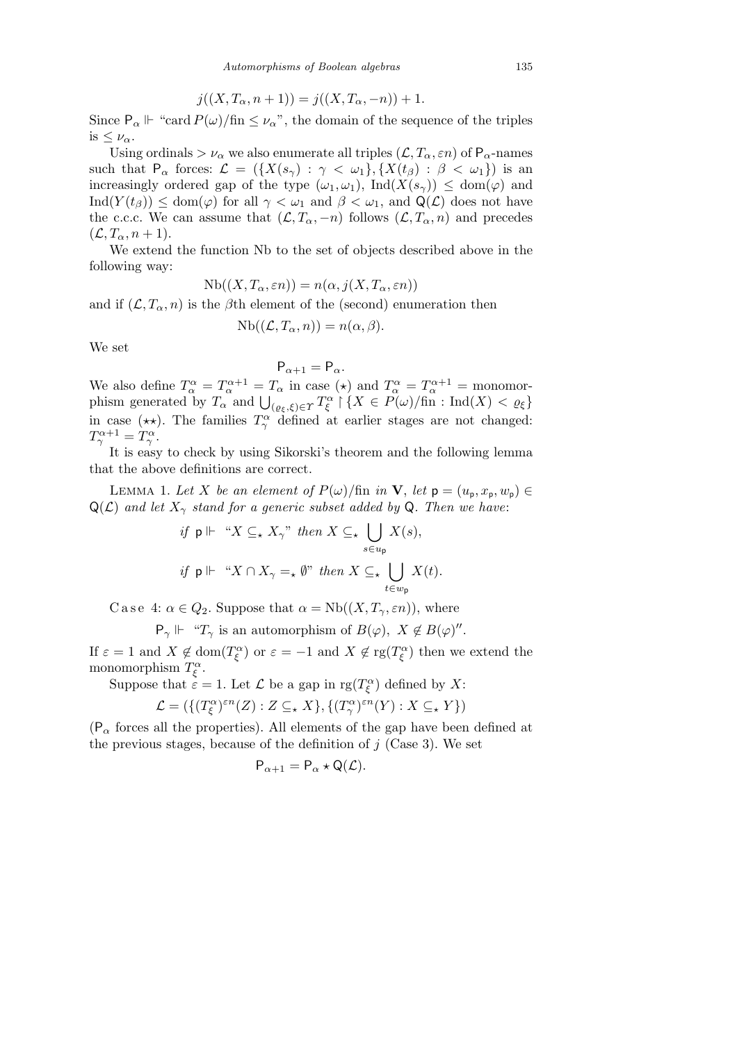$$
j((X, T_{\alpha}, n+1)) = j((X, T_{\alpha}, -n)) + 1.
$$

Since  $P_{\alpha} \Vdash$  "card  $P(\omega)/\text{fin} \leq \nu_{\alpha}$ ", the domain of the sequence of the triples is  $\leq \nu_{\alpha}$ .

Using ordinals  $> \nu_{\alpha}$  we also enumerate all triples  $(L, T_{\alpha}, \varepsilon n)$  of  $P_{\alpha}$ -names such that  $P_\alpha$  forces:  $\mathcal{L} = (\{X(s_\gamma) : \gamma < \omega_1\}, \{X(t_\beta) : \beta < \omega_1\})$  is an increasingly ordered gap of the type  $(\omega_1, \omega_1)$ ,  $\text{Ind}(X(s_\gamma)) \leq \text{dom}(\varphi)$  and Ind(*Y* (*tβ*)) *≤* dom(*ϕ*) for all *γ < ω*<sup>1</sup> and *β < ω*1, and Q(*L*) does not have the c.c.c. We can assume that  $(L, T_\alpha, -n)$  follows  $(L, T_\alpha, n)$  and precedes  $(\mathcal{L}, T_\alpha, n+1).$ 

We extend the function Nb to the set of objects described above in the following way:

$$
Nb((X, T_{\alpha}, \varepsilon n)) = n(\alpha, j(X, T_{\alpha}, \varepsilon n))
$$

and if  $(L, T_\alpha, n)$  is the  $\beta$ th element of the (second) enumeration then

$$
Nb((\mathcal{L},T_{\alpha},n))=n(\alpha,\beta).
$$

We set

$$
\mathsf{P}_{\alpha+1} = \mathsf{P}_{\alpha}.
$$

We also define  $T_{\alpha}^{\alpha} = T_{\alpha}^{\alpha+1} = T_{\alpha}$  in case ( $\star$ ) and  $T_{\alpha}^{\alpha} = T_{\alpha}^{\alpha+1} =$  monomorphism generated by  $T_{\alpha}$  and  $\bigcup_{(\varrho_{\xi}, \xi) \in \Upsilon} T_{\xi}^{\alpha} \upharpoonright \{X \in P(\omega)/\text{fin} : \text{Ind}(X) < \varrho_{\xi}\}\$ in case ( $\star\star$ ). The families  $T^{\alpha}_{\gamma}$  defined at earlier stages are not changed:  $T^{\alpha+1}_{\gamma} = T^{\alpha}_{\gamma}.$ 

It is easy to check by using Sikorski's theorem and the following lemma that the above definitions are correct.

LEMMA 1. Let *X* be an element of  $P(\omega)/\text{fin}$  in **V**, let  $p = (u_p, x_p, w_p) \in$  $Q(\mathcal{L})$  *and let*  $X_{\gamma}$  *stand for a generic subset added by* Q. Then we have:  $\mathbf{r}$ 

if 
$$
\mathsf{p} \Vdash \text{``} X \subseteq_{\star} X_{\gamma} \text{''}
$$
 then  $X \subseteq_{\star} \bigcup_{s \in u_{\mathsf{p}}} X(s)$ ,  
if  $\mathsf{p} \Vdash \text{``} X \cap X_{\gamma} =_{\star} \emptyset \text{''}$  then  $X \subseteq_{\star} \bigcup_{t \in w_{\mathsf{p}}} X(t)$ .

C a s e 4:  $\alpha \in Q_2$ . Suppose that  $\alpha = \text{Nb}((X, T_\gamma, \varepsilon n))$ , where

$$
P_{\gamma} \Vdash
$$
 " $T_{\gamma}$  is an automorphism of  $B(\varphi)$ ,  $X \notin B(\varphi)$ ".

If  $\varepsilon = 1$  and  $X \notin \text{dom}(T_{\xi}^{\alpha})$  or  $\varepsilon = -1$  and  $X \notin \text{rg}(T_{\xi}^{\alpha})$  then we extend the monomorphism  $T_{\xi}^{\alpha}$ .

Suppose that  $\epsilon = 1$ . Let  $\mathcal L$  be a gap in rg( $T_{\xi}^{\alpha}$ ) defined by X:

$$
\mathcal{L} = (\{(T^{\alpha}_{\xi})^{\varepsilon n}(Z) : Z \subseteq_{\star} X\}, \{(T^{\alpha}_{\gamma})^{\varepsilon n}(Y) : X \subseteq_{\star} Y\})
$$

 $(P_\alpha$  forces all the properties). All elements of the gap have been defined at the previous stages, because of the definition of  $j$  (Case 3). We set

$$
\mathsf{P}_{\alpha+1} = \mathsf{P}_{\alpha} \star \mathsf{Q}(\mathcal{L}).
$$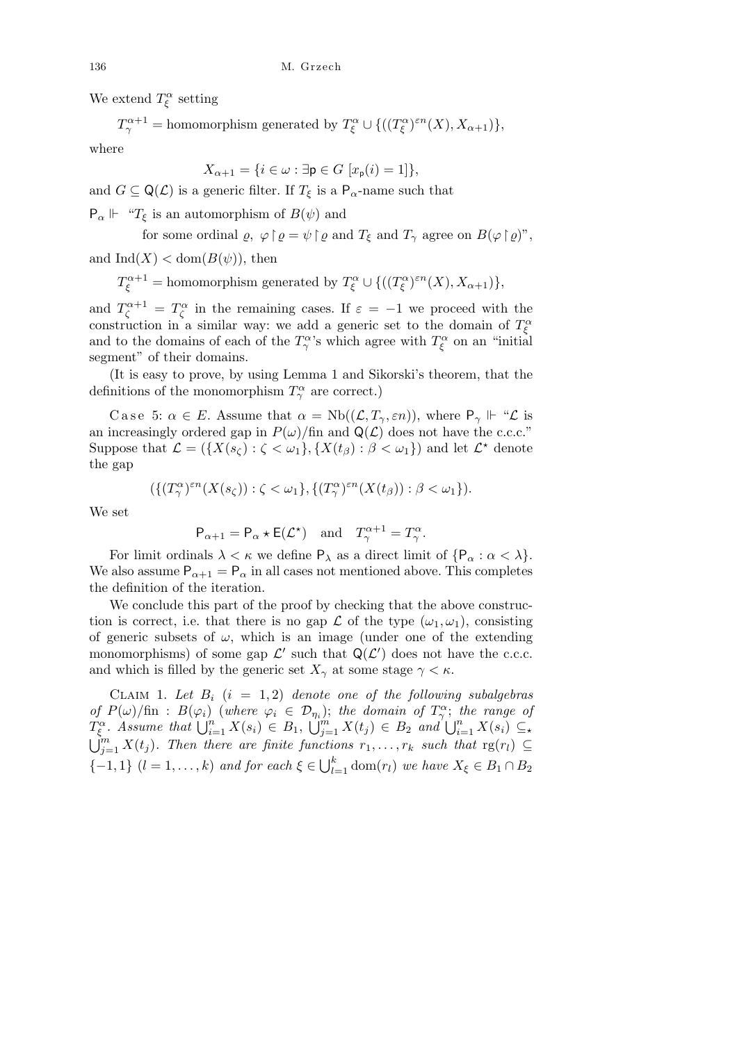We extend  $T_{\xi}^{\alpha}$  setting

 $T^{\alpha+1}_{\gamma} = \text{homomorphism generated by } T^{\alpha}_{\xi} \cup \{((T^{\alpha}_{\xi})^{\varepsilon n}(X), X_{\alpha+1})\},$ 

where

$$
X_{\alpha+1} = \{i \in \omega : \exists \mathbf{p} \in G \ [x_{\mathbf{p}}(i) = 1] \},
$$

and  $G \subseteq \mathsf{Q}(\mathcal{L})$  is a generic filter. If  $T_{\xi}$  is a  $\mathsf{P}_{\alpha}$ -name such that

 $P_{\alpha} \Vdash \text{``}T_{\xi}$  is an automorphism of  $B(\psi)$  and

for some ordinal 
$$
\varrho
$$
,  $\varphi \upharpoonright \varrho = \psi \upharpoonright \varrho$  and  $T_{\xi}$  and  $T_{\gamma}$  agree on  $B(\varphi \upharpoonright \varrho)$ ",

and  $\text{Ind}(X) < \text{dom}(B(\psi))$ , then

 $T_{\xi}^{\alpha+1} = \text{homomorphism generated by } T_{\xi}^{\alpha} \cup \{((T_{\xi}^{\alpha})^{\varepsilon n}(X), X_{\alpha+1})\},$ 

and  $T_{\zeta}^{\alpha+1} = T_{\zeta}^{\alpha}$  in the remaining cases. If  $\varepsilon = -1$  we proceed with the construction in a similar way: we add a generic set to the domain of  $T_{\xi}^{\alpha}$ and to the domains of each of the  $T^{\alpha}_{\gamma}$ 's which agree with  $T^{\alpha}_{\xi}$  on an "initial segment" of their domains.

(It is easy to prove, by using Lemma 1 and Sikorski's theorem, that the definitions of the monomorphism  $T^{\alpha}_{\gamma}$  are correct.)

Case 5:  $\alpha \in E$ . Assume that  $\alpha = \text{Nb}((\mathcal{L}, T_{\gamma}, \varepsilon n))$ , where  $P_{\gamma} \Vdash \mathcal{L}$  is an increasingly ordered gap in  $P(\omega)/\text{fin}$  and  $Q(\mathcal{L})$  does not have the c.c.c." Suppose that  $\mathcal{L} = (\{X(s_\zeta) : \zeta < \omega_1\}, \{X(t_\beta) : \beta < \omega_1\})$  and let  $\mathcal{L}^*$  denote the gap

$$
(\{(T^{\alpha}_{\gamma})^{\varepsilon n}(X(s_{\zeta})) : \zeta < \omega_1\}, \{(T^{\alpha}_{\gamma})^{\varepsilon n}(X(t_{\beta})) : \beta < \omega_1\}).
$$

We set

$$
P_{\alpha+1} = P_{\alpha} \star E(\mathcal{L}^{\star})
$$
 and  $T_{\gamma}^{\alpha+1} = T_{\gamma}^{\alpha}$ .

For limit ordinals  $\lambda < \kappa$  we define  $P_{\lambda}$  as a direct limit of  $\{P_{\alpha} : \alpha < \lambda\}$ . We also assume  $P_{\alpha+1} = P_{\alpha}$  in all cases not mentioned above. This completes the definition of the iteration.

We conclude this part of the proof by checking that the above construction is correct, i.e. that there is no gap  $\mathcal L$  of the type  $(\omega_1, \omega_1)$ , consisting of generic subsets of  $\omega$ , which is an image (under one of the extending monomorphisms) of some gap  $\mathcal{L}'$  such that  $\mathsf{Q}(\mathcal{L}')$  does not have the c.c.c. and which is filled by the generic set  $X_{\gamma}$  at some stage  $\gamma < \kappa$ .

CLAIM 1. Let  $B_i$   $(i = 1, 2)$  denote one of the following subalgebras *of*  $P(\omega)/\text{fin}: B(\varphi_i)$  (*where*  $\varphi_i \in \mathcal{D}_{\eta_i}$ ); *the domain of*  $T_\gamma^\alpha$ ; *the range of T*<sub>*g***</sub></del>. Assume that**  $\bigcup_{i=1}^{n} X(s_i) \in B_1$ **,</sub>**  $T_{\zeta}^{\alpha}$ . Assume that  $\bigcup_{i=1}^{n} X(s_i) \in B_1$ ,  $\bigcup_{j=1}^{m} X(t_j) \in B_2$  and  $\bigcup_{i=1}^{n} X(s_i) \subseteq$ <br> $\bigcup_{i=1}^{m} X(t_i)$ . Then there are finite functions  $x_i = x_i$  and  $\bigcup_{i=1}^{n} X(s_i) \subseteq$  $\bigcup_{j=1}^{m} X(t_j)$ *. Then there are finite functions*  $r_1, \ldots, r_k$  *such that*  $\text{rg}(r_l) \subseteq$ *{* $-1$ , 1*}* (*l* = 1*, . . . , k*) *and for each*  $\xi \in \bigcup_{k=1}^{n}$  $\sum_{l=1}^{k}$  dom $(r_l)$  *we have*  $X_{\xi} \in B_1 \cap B_2$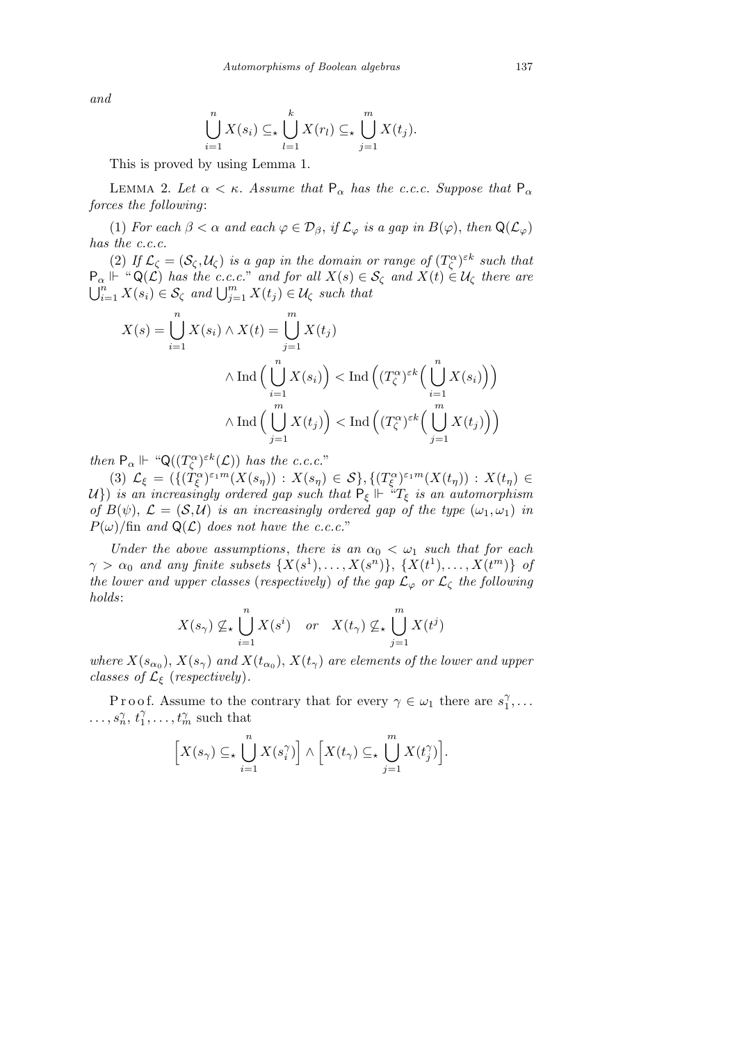*and*

$$
\bigcup_{i=1}^{n} X(s_i) \subseteq \mathcal{L} \bigcup_{l=1}^{k} X(r_l) \subseteq \mathcal{L} \bigcup_{j=1}^{m} X(t_j).
$$

This is proved by using Lemma 1.

LEMMA 2. Let  $\alpha < \kappa$ . Assume that  $P_{\alpha}$  has the c.c.c. Suppose that  $P_{\alpha}$ *forces the following*:

(1) *For each*  $\beta < \alpha$  *and each*  $\varphi \in \mathcal{D}_{\beta}$ , *if*  $\mathcal{L}_{\varphi}$  *is a gap in*  $B(\varphi)$ , *then*  $\mathsf{Q}(\mathcal{L}_{\varphi})$ *has the c.c.c.*

(2) *If*  $\mathcal{L}_{\zeta} = (\mathcal{S}_{\zeta}, \mathcal{U}_{\zeta})$  *is a gap in the domain or range of*  $(T_{\zeta}^{\alpha})^{\varepsilon k}$  *such that*  $P_{\alpha} \Vdash ``\mathsf{Q}(\mathcal{L})$  *has the c.c.c.*" *and for all*  $X(s) \in \mathcal{S}_{\zeta}$  *and*  $X(t) \in \mathcal{U}_{\zeta}$  *there are*  $\mathcal{L}^n_{i=1} X(s_i) \in \mathcal{S}_{\zeta}$  *and*  $\bigcup_{j=1}^m X(t_j) \in \mathcal{U}_{\zeta}$  *such that* 

$$
X(s) = \bigcup_{i=1}^{n} X(s_i) \wedge X(t) = \bigcup_{j=1}^{m} X(t_j)
$$
  
 
$$
\wedge \operatorname{Ind} \Big( \bigcup_{i=1}^{n} X(s_i) \Big) < \operatorname{Ind} \Big( (T_{\zeta}^{\alpha})^{\varepsilon k} \Big( \bigcup_{i=1}^{n} X(s_i) \Big) \Big)
$$
  
 
$$
\wedge \operatorname{Ind} \Big( \bigcup_{j=1}^{m} X(t_j) \Big) < \operatorname{Ind} \Big( (T_{\zeta}^{\alpha})^{\varepsilon k} \Big( \bigcup_{j=1}^{m} X(t_j) \Big) \Big)
$$

*then*  $P_{\alpha} \Vdash \text{``}Q((T_{\zeta}^{\alpha})^{\varepsilon k}(\mathcal{L}))$  *has the c.c.c.*"

(3)  $\mathcal{L}_{\xi} = (\{(T_{\xi}^{\alpha})^{\varepsilon_1 m}(X(s_{\eta})) : X(s_{\eta}) \in \mathcal{S}\}, \{(T_{\xi}^{\alpha})^{\varepsilon_1 m}(X(t_{\eta})) : X(t_{\eta}) \in$ *U*}) *is an increasingly ordered gap such that*  $P_{\xi} \Vdash$  <sup>*i*</sup> $T_{\xi}$  *is an automorphism of*  $B(\psi)$ ,  $\mathcal{L} = (\mathcal{S}, \mathcal{U})$  *is an increasingly ordered gap of the type*  $(\omega_1, \omega_1)$  *in*  $P(\omega)$ /fin and  $Q(\mathcal{L})$  does not have the c.c.c."

*Under the above assumptions, there is an*  $\alpha_0 < \omega_1$  *such that for each*  $\gamma > \alpha_0$  *and any finite subsets*  $\{X(s^1), \ldots, X(s^n)\}, \{X(t^1), \ldots, X(t^m)\}\,$  *of the lower and upper classes (respectively) of the gap*  $\mathcal{L}_{\varphi}$  *or*  $\mathcal{L}_{\zeta}$  *the following holds*:

$$
X(s_{\gamma}) \nsubseteq_{\star} \bigcup_{i=1}^{n} X(s^{i}) \quad or \quad X(t_{\gamma}) \nsubseteq_{\star} \bigcup_{j=1}^{m} X(t^{j})
$$

*where*  $X(s_{\alpha_0})$ ,  $X(s_{\gamma})$  and  $X(t_{\alpha_0})$ ,  $X(t_{\gamma})$  are elements of the lower and upper *classes of*  $\mathcal{L}_{\xi}$  (*respectively*).

P r o o f. Assume to the contrary that for every  $\gamma \in \omega_1$  there are  $s_1^{\gamma}$  $_1^\gamma , \ldots$  $\ldots, s_n^{\gamma}, t_1^{\gamma}$  $\gamma_1^{\gamma}, \ldots, \gamma_m^{\gamma}$  such that

$$
\Big[X(s_{\gamma}) \subseteq_{\star} \bigcup_{i=1}^{n} X(s_{i}^{\gamma})\Big] \wedge \Big[X(t_{\gamma}) \subseteq_{\star} \bigcup_{j=1}^{m} X(t_{j}^{\gamma})\Big].
$$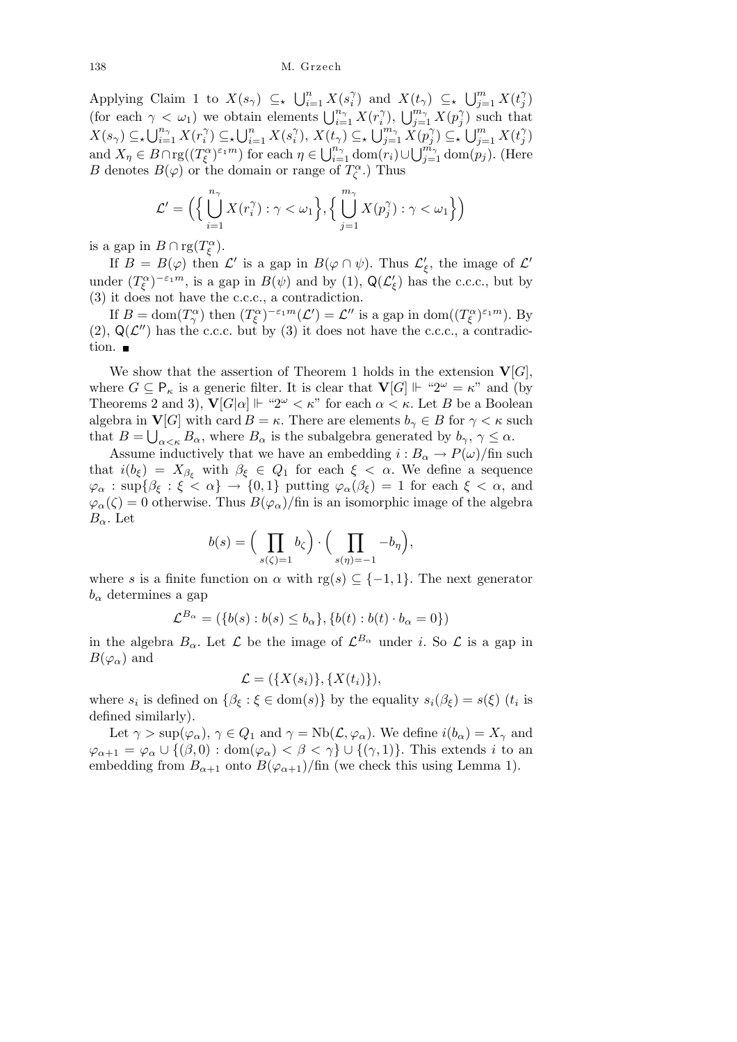Applying Claim 1 to  $X(s_\gamma) \subseteq_{\star} \bigcup_{i=1}^n$  $\sum_{i=1}^n X(s_i)$ *i*<sup>2</sup>) and  $X(t_\gamma) \subseteq \{ \bigcup_{j=1}^m$  $\sum_{j=1}^{m} X(t_j)$ *j* ) (for each  $\gamma < \omega_1$ ) we obtain elements  $\bigcup_{i=1}^{n_{\gamma}} X(r_i)$  $\cup_{i=1}^{n} X(p_i) \leq \kappa$ <br> *i*<sup>*n*</sup></sub>  $j$ ) such that  $X(s_\gamma) \subseteq Y \cup_{i=1}^{n_\gamma}$  $\sum_{i=1}^{n_{\gamma}} X(r_i^{\gamma})$  $\binom{n}{i}$   $\subseteq$   $\bigcup_{i=1}^{n}$  $\sum_{i=1}^n X(s_i^{\gamma})$  $\binom{\gamma}{i}, X(t_{\gamma}) \subseteq_{\star} \bigcup_{j=1}^{m_{\gamma}}$  $\sum\limits_{j=1}^{m_{\gamma}} \check{X}(p_j^{\gamma})$ *j*) ⊆<sub>\*</sub> ∪*j*<sub>*j*</sub><br>*j*) ⊆\* ∪*j*<sub>j</sub>  $\sum_{j=1}^{m} X(t_j)$  $\mathcal{L}(t_{\gamma}) \subseteq_{\star} \bigcup_{j=1}^{m_{\gamma}} X(p_j^{\gamma}) \subseteq_{\star} \bigcup_{j=1}^{m} X(t_j^{\gamma})$ and  $X_{\eta} \in B \cap \text{rg}((T_{\xi}^{\alpha})^{\varepsilon_{1}m})$  for each  $\eta \in \bigcup_{i=1}^{n_{\gamma}} \text{dom}(r_{i}) \cup \bigcup_{j=1}^{m_{\gamma}} \text{dom}(p_{j})$ . (Here *B* denotes  $B(\varphi)$  or the domain or range of  $T_\zeta^\alpha$ .) Thus

$$
\mathcal{L}' = \left( \left\{ \bigcup_{i=1}^{n_{\gamma}} X(r_i^{\gamma}) : \gamma < \omega_1 \right\}, \left\{ \bigcup_{j=1}^{m_{\gamma}} X(p_j^{\gamma}) : \gamma < \omega_1 \right\} \right)
$$

is a gap in  $B \cap \text{rg}(T_{\xi}^{\alpha})$ .

If  $B = B(\varphi)$  then  $\mathcal{L}'$  is a gap in  $B(\varphi \cap \psi)$ . Thus  $\mathcal{L}'_{\xi}$ , the image of  $\mathcal{L}'$ under  $(T_{\xi}^{\alpha})^{-\varepsilon_1 m}$ , is a gap in  $B(\psi)$  and by (1),  $\mathsf{Q}(\mathcal{L}'_{\xi})$  has the c.c.c., but by (3) it does not have the c.c.c., a contradiction.

If  $B = \text{dom}(T_\gamma^\alpha)$  then  $(T_\xi^\alpha)^{-\varepsilon_1 m}(\mathcal{L}') = \mathcal{L}''$  is a gap in  $\text{dom}((T_\xi^\alpha)^{\varepsilon_1 m})$ . By (2),  $Q(\mathcal{L}'')$  has the c.c.c. but by (3) it does not have the c.c.c., a contradiction.  $\blacksquare$ 

We show that the assertion of Theorem 1 holds in the extension  $\mathbf{V}[G]$ , where  $G \subseteq \mathsf{P}_{\kappa}$  is a generic filter. It is clear that  $\mathbf{V}[G] \Vdash \text{``}2^{\omega} = \kappa$ " and (by Theorems 2 and 3),  $\mathbf{V}[G|\alpha] \Vdash \mathcal{L}^{\omega} < \kappa$ " for each  $\alpha < \kappa$ . Let *B* be a Boolean algebra in **V**[*G*] with card  $B = \kappa$ . There are elements  $b_{\gamma} \in B$  for  $\gamma < \kappa$  such that  $B = \bigcup_{\alpha < \kappa} B_{\alpha}$ , where  $B_{\alpha}$  is the subalgebra generated by  $b_{\gamma}, \gamma \leq \alpha$ .

Assume inductively that we have an embedding  $i : B_\alpha \to P(\omega)/\text{fin}$  such that  $i(b_{\xi}) = X_{\beta_{\xi}}$  with  $\beta_{\xi} \in Q_1$  for each  $\xi < \alpha$ . We define a sequence  $\varphi_{\alpha}$  :  $\sup\{\beta_{\xi} : \xi < \alpha\} \to \{0,1\}$  putting  $\varphi_{\alpha}(\beta_{\xi}) = 1$  for each  $\xi < \alpha$ , and  $\varphi_{\alpha}(\zeta) = 0$  otherwise. Thus  $B(\varphi_{\alpha})$ /fin is an isomorphic image of the algebra *Bα*. Let  $\mathbf{r}$  $\mathbf{r}$ 

$$
b(s) = \Big(\prod_{s(\zeta)=1} b_{\zeta}\Big) \cdot \Big(\prod_{s(\eta)=-1} -b_{\eta}\Big),
$$

where *s* is a finite function on  $\alpha$  with rg( $s$ )  $\subset$  {-1,1}. The next generator  $b<sub>α</sub>$  determines a gap

$$
\mathcal{L}^{B_{\alpha}} = (\{b(s) : b(s) \le b_{\alpha}\}, \{b(t) : b(t) \cdot b_{\alpha} = 0\})
$$

in the algebra  $B_{\alpha}$ . Let  $\mathcal{L}$  be the image of  $\mathcal{L}^{B_{\alpha}}$  under *i*. So  $\mathcal{L}$  is a gap in  $B(\varphi_\alpha)$  and

$$
\mathcal{L} = (\{X(s_i)\}, \{X(t_i)\}),
$$

where  $s_i$  is defined on  $\{\beta_{\xi} : \xi \in \text{dom}(s)\}\$  by the equality  $s_i(\beta_{\xi}) = s(\xi)$  ( $t_i$  is defined similarly).

Let  $\gamma > \sup(\varphi_\alpha)$ ,  $\gamma \in Q_1$  and  $\gamma = \text{Nb}(\mathcal{L}, \varphi_\alpha)$ . We define  $i(b_\alpha) = X_\gamma$  and  $\varphi_{\alpha+1} = \varphi_{\alpha} \cup \{(\beta,0) : \text{dom}(\varphi_{\alpha}) < \beta < \gamma\} \cup \{(\gamma,1)\}.$  This extends *i* to an embedding from  $B_{\alpha+1}$  onto  $B(\varphi_{\alpha+1})$ /fin (we check this using Lemma 1).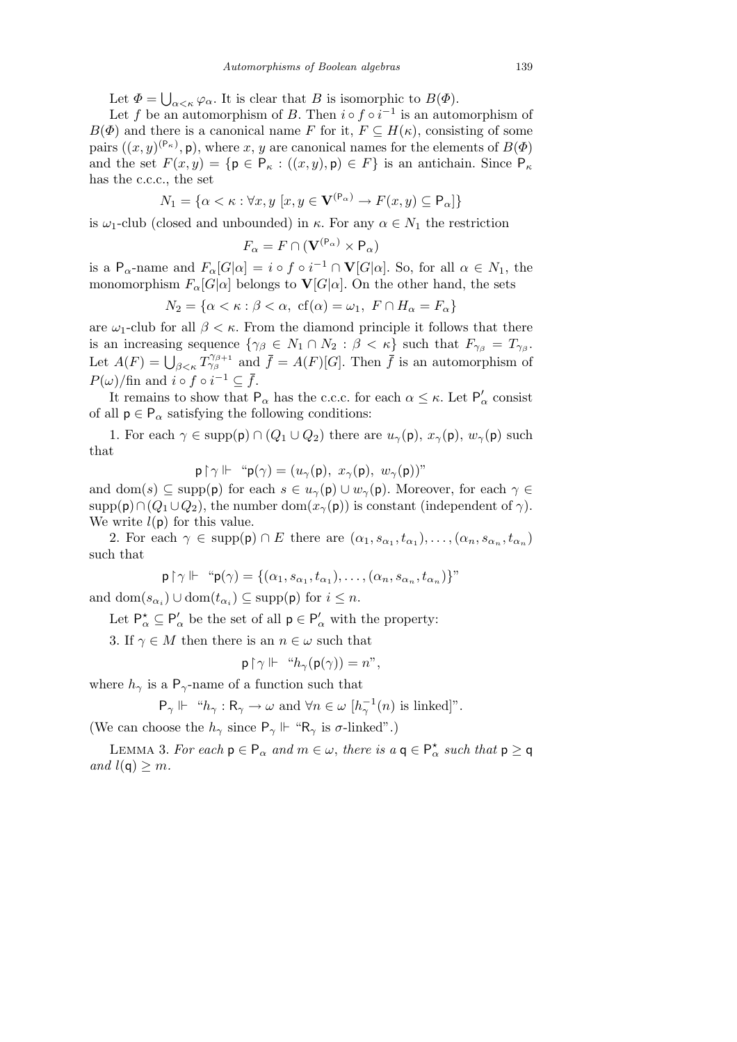Let  $\Phi =$ S  $a \lt \kappa \varphi_\alpha$ . It is clear that *B* is isomorphic to *B*( $\Phi$ ).

Let *f* be an automorphism of *B*. Then  $i \circ f \circ i^{-1}$  is an automorphism of  $B(\Phi)$  and there is a canonical name *F* for it,  $F \subseteq H(\kappa)$ , consisting of some pairs  $((x, y)^{(\mathsf{P}_{\kappa})}, \mathsf{p})$ , where *x*, *y* are canonical names for the elements of  $B(\Phi)$ and the set  $F(x, y) = \{p \in P_{\kappa} : ((x, y), p) \in F\}$  is an antichain. Since  $P_{\kappa}$ has the c.c.c., the set

$$
N_1 = \{ \alpha < \kappa : \forall x, y \ [x, y \in \mathbf{V}^{(\mathsf{P}_\alpha)} \to F(x, y) \subseteq \mathsf{P}_\alpha] \}
$$

is  $\omega_1$ -club (closed and unbounded) in  $\kappa$ . For any  $\alpha \in N_1$  the restriction

$$
F_{\alpha} = F \cap (\mathbf{V}^{(\mathsf{P}_{\alpha})} \times \mathsf{P}_{\alpha})
$$

is a P<sub>α</sub>-name and  $F_\alpha[G|\alpha] = i \circ f \circ i^{-1} \cap \mathbf{V}[G|\alpha]$ . So, for all  $\alpha \in N_1$ , the monomorphism  $F_\alpha[G|\alpha]$  belongs to  $\mathbf{V}[G|\alpha]$ . On the other hand, the sets

$$
N_2 = \{ \alpha < \kappa : \beta < \alpha, \text{ cf}(\alpha) = \omega_1, \text{ } F \cap H_\alpha = F_\alpha \}
$$

are  $\omega_1$ -club for all  $\beta < \kappa$ . From the diamond principle it follows that there is an increasing sequence  $\{\gamma_\beta \in N_1 \cap N_2 : \beta < \kappa\}$  such that  $F_{\gamma_\beta} = T_{\gamma_\beta}$ . Let  $A(F) = \bigcup_{\beta \leq \kappa} T^{\gamma_{\beta+1}}_{\gamma_{\beta}}$  and  $\bar{f} = A(F)[G]$ . Then  $\bar{f}$  is an automorphism of *P*(*ω*)/fin and *i*  $\circ$  *f*  $\circ$  *i*<sup>-1</sup>  $\subseteq$  *f*.

It remains to show that  $P_{\alpha}$  has the c.c.c. for each  $\alpha \leq \kappa$ . Let  $P'_{\alpha}$  consist of all  $p \in P_\alpha$  satisfying the following conditions:

1. For each  $\gamma \in \text{supp}(\mathsf{p}) \cap (Q_1 \cup Q_2)$  there are  $u_{\gamma}(\mathsf{p}), x_{\gamma}(\mathsf{p}), w_{\gamma}(\mathsf{p})$  such that

 $p \upharpoonright \gamma \Vdash \text{``} p(\gamma) = (u_\gamma(p), x_\gamma(p), w_\gamma(p))$ "

and dom(*s*)  $\subseteq$  supp(**p**) for each  $s \in u_\gamma(\mathbf{p}) \cup w_\gamma(\mathbf{p})$ . Moreover, for each  $\gamma \in$ supp( $\mathsf{p}) \cap (Q_1 \cup Q_2)$ , the number dom( $x_\gamma(\mathsf{p})$ ) is constant (independent of  $\gamma$ ). We write  $l(p)$  for this value.

2. For each  $\gamma \in \text{supp}(\mathsf{p}) \cap E$  there are  $(\alpha_1, s_{\alpha_1}, t_{\alpha_1}), \ldots, (\alpha_n, s_{\alpha_n}, t_{\alpha_n})$ such that

$$
\mathsf{p} \upharpoonright \gamma \Vdash \text{``}\mathsf{p}(\gamma) = \{(\alpha_1, s_{\alpha_1}, t_{\alpha_1}), \dots, (\alpha_n, s_{\alpha_n}, t_{\alpha_n})\}''
$$

and  $dom(s_{\alpha_i}) \cup dom(t_{\alpha_i}) \subseteq supp(\mathsf{p})$  for  $i \leq n$ .

Let  $P^{\star}_{\alpha} \subseteq P'_{\alpha}$  be the set of all  $p \in P'_{\alpha}$  with the property:

3. If  $\gamma \in M$  then there is an  $n \in \omega$  such that

$$
\mathsf{p} \restriction \gamma \Vdash \text{``} h_{\gamma}(\mathsf{p}(\gamma)) = n",
$$

where  $h_{\gamma}$  is a P<sub>γ</sub>-name of a function such that

$$
\mathsf{P}_{\gamma} \Vdash \text{``} h_{\gamma} : \mathsf{R}_{\gamma} \to \omega \text{ and } \forall n \in \omega \ [h_{\gamma}^{-1}(n) \text{ is linked}]\text{''}.
$$

(We can choose the  $h_{\gamma}$  since  $P_{\gamma} \Vdash \text{``R}_{\gamma}$  is  $\sigma$ -linked".)

LEMMA 3. For each  $p \in P_\alpha$  and  $m \in \omega$ , there is  $a \in P_\alpha^*$  such that  $p \ge q$  $and$   $l(\mathbf{q}) \geq m$ *.*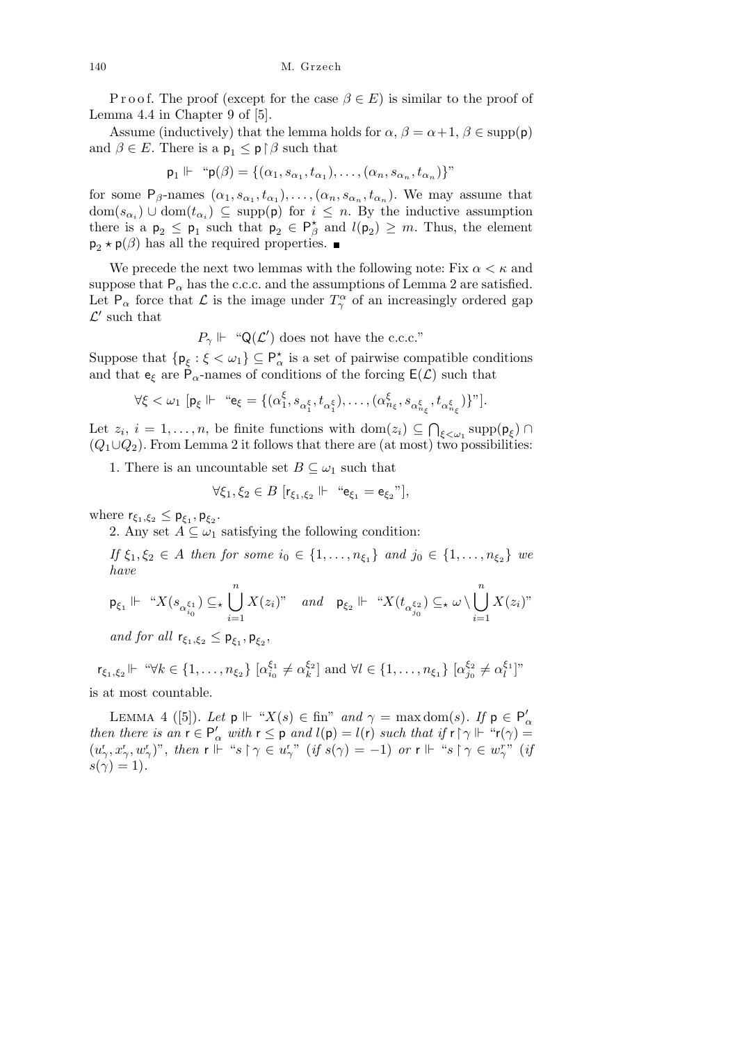P r o o f. The proof (except for the case  $\beta \in E$ ) is similar to the proof of Lemma 4.4 in Chapter 9 of [5].

Assume (inductively) that the lemma holds for  $\alpha$ ,  $\beta = \alpha + 1$ ,  $\beta \in \text{supp}(\mathsf{p})$ and  $\beta \in E$ . There is a  $\mathsf{p}_1 \leq \mathsf{p} \restriction \beta$  such that

$$
\mathsf{p}_1 \Vdash \text{``}\mathsf{p}(\beta) = \{(\alpha_1, s_{\alpha_1}, t_{\alpha_1}), \dots, (\alpha_n, s_{\alpha_n}, t_{\alpha_n})\}''
$$

for some  $P_\beta$ -names  $(\alpha_1, s_{\alpha_1}, t_{\alpha_1}), \ldots, (\alpha_n, s_{\alpha_n}, t_{\alpha_n})$ . We may assume that  $dom(s_{\alpha_i}) \cup dom(t_{\alpha_i}) \subseteq supp(p)$  for  $i \leq n$ . By the inductive assumption there is a  $p_2 \leq p_1$  such that  $p_2 \in P^*_{\beta}$  and  $l(p_2) \geq m$ . Thus, the element  $p_2 \star p(\beta)$  has all the required properties.

We precede the next two lemmas with the following note: Fix  $\alpha < \kappa$  and suppose that  $P_\alpha$  has the c.c.c. and the assumptions of Lemma 2 are satisfied. Let  $P_\alpha$  force that  $\mathcal L$  is the image under  $T_\gamma^\alpha$  of an increasingly ordered gap  $\mathcal{L}'$  such that

$$
P_{\gamma} \Vdash \text{``Q}(\mathcal{L}')
$$
 does not have the c.c.c."

Suppose that  $\{p_{\xi} : \xi < \omega_1\} \subseteq P^{\star}_{\alpha}$  is a set of pairwise compatible conditions and that  $e_{\xi}$  are  $\dot{P}_{\alpha}$ -names of conditions of the forcing  $E(\mathcal{L})$  such that

$$
\forall \xi < \omega_1 \ [\mathbf{p}_{\xi} \Vdash \text{``} \mathbf{e}_{\xi} = \{(\alpha_1^{\xi}, s_{\alpha_1^{\xi}}, t_{\alpha_1^{\xi}}), \dots, (\alpha_{n_{\xi}}^{\xi}, s_{\alpha_{n_{\xi}}^{\xi}}, t_{\alpha_{n_{\xi}}^{\xi}})\}".
$$

Let  $z_i$ ,  $i = 1, \ldots, n$ , be finite functions with dom $(z_i) \subseteq$ *ξ<ω*<sup>1</sup> supp(p*<sup>ξ</sup>* ) *∩*  $(Q_1 \cup Q_2)$ . From Lemma 2 it follows that there are (at most) two possibilities:

1. There is an uncountable set  $B \subseteq \omega_1$  such that

$$
\forall \xi_1, \xi_2 \in B \; [r_{\xi_1, \xi_2} \Vdash "e_{\xi_1} = e_{\xi_2}"],
$$

where  $\mathsf{r}_{\xi_1,\xi_2} \leq \mathsf{p}_{\xi_1}, \mathsf{p}_{\xi_2}$ .

2. Any set  $A \subseteq \omega_1$  satisfying the following condition:

*If*  $\xi_1, \xi_2 \in A$  *then for some*  $i_0 \in \{1, ..., n_{\xi_1}\}$  *and*  $j_0 \in \{1, ..., n_{\xi_2}\}$  *we have*

$$
\mathsf{p}_{\xi_1} \Vdash \text{``} X(s_{\alpha_{i_0}^{\xi_1}}) \subseteq_\star \bigcup_{i=1}^n X(z_i)\text{''} \quad \text{and} \quad \mathsf{p}_{\xi_2} \Vdash \text{``} X(t_{\alpha_{j_0}^{\xi_2}}) \subseteq_\star \omega \setminus \bigcup_{i=1}^n X(z_i)\text{''}
$$

*and for all*  $\mathsf{r}_{\xi_1,\xi_2} \leq \mathsf{p}_{\xi_1}, \mathsf{p}_{\xi_2},$ 

 $r_{\xi_1,\xi_2}$ |*-* " $\forall k \in \{1,\ldots,n_{\xi_2}\}$  [ $\alpha_{i_0}^{\xi_1}$  $a_{i_0}^{\xi_1} \neq a_k^{\xi_2}$ ] and  $\forall l \in \{1, \ldots, n_{\xi_1}\}$  [ $a_{j_0}^{\xi_2}$  $\zeta_{2}^{\xi_{2}} \neq \alpha_{l}^{\xi_{1}}$ ]" is at most countable.

LEMMA 4 ([5]). Let  $p \Vdash "X(s) \in \text{fin}$ " and  $\gamma = \max \text{dom}(s)$ . If  $p \in P'_\alpha$ *then there is an*  $\mathsf{r} \in \mathsf{P}'_\alpha$  *with*  $\mathsf{r} \leq \mathsf{p}$  *and*  $l(\mathsf{p}) = l(\mathsf{r})$  *such that if*  $\mathsf{r} \restriction \gamma \Vdash \text{``r}(\gamma) =$  $(u_\gamma^r, x_\gamma^r, w_\gamma^r)^n$ , then  $\mathsf{r} \Vdash ``s \upharpoonright \gamma \in u_\gamma^r"$   $(if s(\gamma) = -1)$  or  $\mathsf{r} \Vdash ``s \upharpoonright \gamma \in w_\gamma^r"$   $(if$  $s(\gamma) = 1$ ).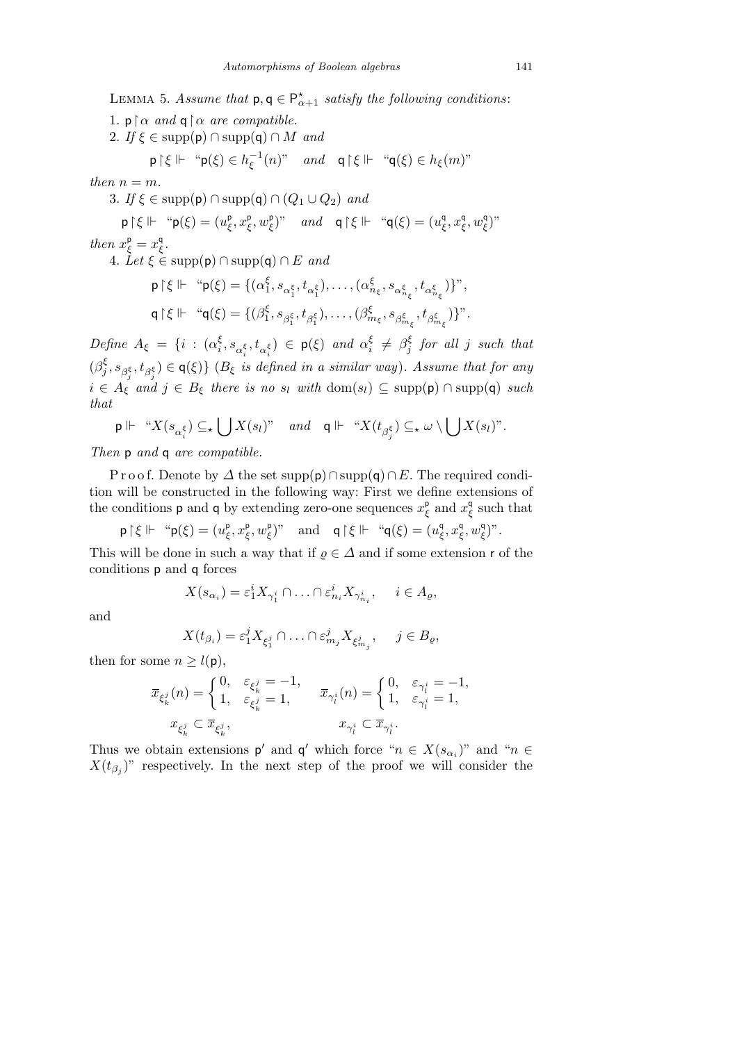LEMMA 5. *Assume that*  $p, q \in P^{\star}_{\alpha+1}$  *satisfy the following conditions:* 

- 1.  $p \upharpoonright \alpha$  *and*  $q \upharpoonright \alpha$  *are compatible.*
- 2. *If*  $\xi \in \text{supp}(\mathbf{p}) \cap \text{supp}(\mathbf{q}) \cap M$  *and*

$$
\mathsf{p}\upharpoonright\xi \Vdash \text{``}\mathsf{p}(\xi) \in h_{\xi}^{-1}(n)\text{''} \quad \text{and} \quad \mathsf{q}\upharpoonright\xi \Vdash \text{``}\mathsf{q}(\xi) \in h_{\xi}(m)\text{''}
$$

*then*  $n = m$ *.* 

3. *If*  $\xi \in \text{supp}(\mathsf{p}) \cap \text{supp}(\mathsf{q}) \cap (Q_1 \cup Q_2)$  *and* 

$$
\mathsf{p}\upharpoonright\xi\Vdash\text{``}\mathsf{p}(\xi)=(u^{\mathsf{p}}_{\xi},x^{\mathsf{p}}_{\xi},w^{\mathsf{p}}_{\xi})\text{''}\quad\text{and}\quad\mathsf{q}\upharpoonright\xi\Vdash\text{``}\mathsf{q}(\xi)=(u^{\mathsf{q}}_{\xi},x^{\mathsf{q}}_{\xi},w^{\mathsf{q}}_{\xi})\text{''}
$$

*then*  $x_{\xi}^{\mathsf{p}} = x_{\xi}^{\mathsf{q}}$ .

 $4. \text{ } \text{Let } \xi \in \text{supp}(\mathsf{p}) \cap \text{supp}(\mathsf{q}) \cap E \text{ and}$ 

$$
\begin{aligned} \mathsf{p}\upharpoonright \xi \Vdash \quad \text{``}\mathsf{p}(\xi) &= \{(\alpha_1^{\xi}, s_{\alpha_1^{\xi}}, t_{\alpha_1^{\xi}}), \dots, (\alpha_{n_{\xi}}^{\xi}, s_{\alpha_{n_{\xi}}^{\xi}}, t_{\alpha_{n_{\xi}}^{\xi}})\} \text{''}, \\ \mathsf{q}\upharpoonright \xi \Vdash \quad \text{``}\mathsf{q}(\xi) &= \{(\beta_1^{\xi}, s_{\beta_1^{\xi}}, t_{\beta_1^{\xi}}), \dots, (\beta_{m_{\xi}}^{\xi}, s_{\beta_{m_{\xi}}^{\xi}}, t_{\beta_{m_{\xi}}^{\xi}})\} \text{''}. \end{aligned}
$$

*Define*  $A_{\xi} = \{i : (\alpha_i^{\xi})\}$  $\left( \xi, s_{\alpha_i^{\xi}}, t_{\alpha_i^{\xi}} \right) \in \mathsf{p}(\xi)$  *and*  $\alpha_i^{\xi}$  $\frac{\xi}{i} \neq \beta_j^{\xi}$ *j for all j such that* (*β ξ*  $\{f_j, s_{\beta_j^{\xi}}, t_{\beta_j^{\xi}}\}$   $\in \mathsf{q}(\xi)\}$  ( $B_{\xi}$  *is defined in a similar way*). Assume that for any  $i \in A_{\xi}$  *and*  $j \in B_{\xi}$  *there is no*  $s_i$  *with* dom( $s_i$ )  $\subseteq$  supp( $\mathsf{p}$ )  $\cap$  supp( $\mathsf{q}$ ) *such that*  $\overline{\phantom{a}}$  $\overline{a}$ 

$$
\mathsf{p} \Vdash \text{``} X(s_{\alpha_i^{\xi}}) \subseteq_{\star} \bigcup X(s_l)\text{''} \quad \text{and} \quad \mathsf{q} \Vdash \text{``} X(t_{\beta_j^{\xi}}) \subseteq_{\star} \omega \setminus \bigcup X(s_l)\text{''}.
$$

*Then* p *and* q *are compatible.*

P r o o f. Denote by  $\Delta$  the set supp(p)∩supp(q)∩E. The required condition will be constructed in the following way: First we define extensions of the conditions **p** and **q** by extending zero-one sequences  $x_{\xi}^{\mathsf{p}}$  and  $x_{\xi}^{\mathsf{q}}$  such that

 $\mathsf{p} \upharpoonright \xi \Vdash \text{``}\mathsf{p}(\xi) = (u_{\xi}^{\mathsf{p}}, x_{\xi}^{\mathsf{p}}, w_{\xi}^{\mathsf{p}})$ "*and*  $\mathsf{q} \upharpoonright \xi \Vdash \text{``}\mathsf{q}(\xi) = (u_{\xi}^{\mathsf{q}}, x_{\xi}^{\mathsf{q}}, w_{\xi}^{\mathsf{q}})$ ".

This will be done in such a way that if  $\rho \in \Delta$  and if some extension r of the conditions p and q forces

$$
X(s_{\alpha_i}) = \varepsilon_1^i X_{\gamma_1^i} \cap \ldots \cap \varepsilon_{n_i}^i X_{\gamma_{n_i}^i}, \quad i \in A_{\varrho},
$$

and

$$
X(t_{\beta_i})=\varepsilon_1^jX_{\xi_1^j}\cap\ldots\cap\varepsilon_{m_j}^jX_{\xi_{m_j}^j},\quad j\in B_{\varrho},
$$

then for some  $n \geq l(p)$ ,

$$
\begin{aligned} \overline{x}_{\xi_k^j}(n) &= \left\{ \begin{matrix} 0, & \varepsilon_{\xi_k^j} &= -1, \\ 1, & \varepsilon_{\xi_k^j} &= 1, \end{matrix} \right. & \overline{x}_{\gamma_l^i}(n) &= \left\{ \begin{matrix} 0, & \varepsilon_{\gamma_l^i} &= -1, \\ 1, & \varepsilon_{\gamma_l^i} &= 1, \end{matrix} \right. \\ x_{\xi_k^j} \subset \overline{x}_{\xi_k^j}, & x_{\gamma_l^i} \subset \overline{x}_{\gamma_l^i}. \end{aligned}
$$

Thus we obtain extensions  $p'$  and  $q'$  which force " $n \in X(s_{\alpha_i})$ " and " $n \in$  $X(t_{\beta_j})$ " respectively. In the next step of the proof we will consider the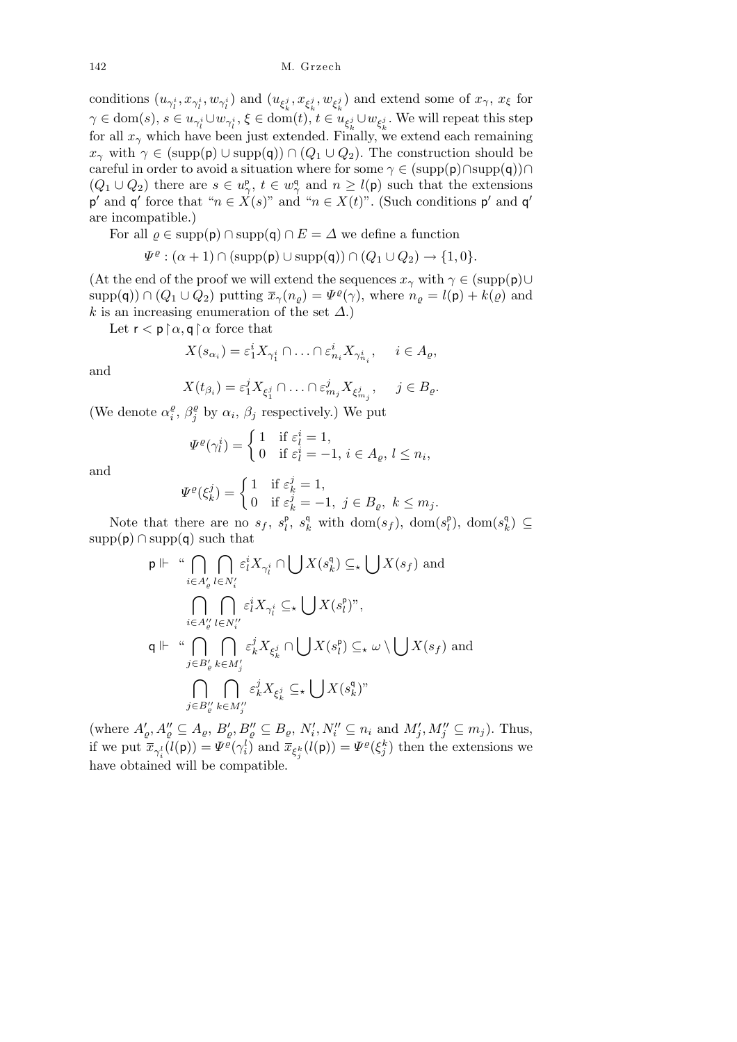conditions  $(u_{\gamma^i_l}, x_{\gamma^i_l}, w_{\gamma^i_l})$  and  $(u_{\xi^j_k}, x_{\xi^j_k}, w_{\xi^j_k})$  and extend some of  $x_\gamma$ ,  $x_\xi$  for  $\gamma \in \text{dom}(s), s \in u_{\gamma_t^i} \cup w_{\gamma_t^i}, \xi \in \text{dom}(t), t \in u_{\xi_k^j} \cup w_{\xi_k^j}.$  We will repeat this step for all  $x_\gamma$  which have been just extended. Finally, we extend each remaining *x*<sup>*γ*</sup> with  $\gamma \in (\text{supp}(\mathsf{p}) \cup \text{supp}(\mathsf{q})) \cap (Q_1 \cup Q_2)$ . The construction should be careful in order to avoid a situation where for some  $\gamma \in (\text{supp}(\mathsf{p}) \cap \text{supp}(\mathsf{q})) \cap$  $(Q_1 \cup Q_2)$  there are  $s \in u_\gamma^{\mathsf{p}}, t \in w_\gamma^{\mathsf{q}}$  and  $n \geq l(\mathsf{p})$  such that the extensions  $p'$  and  $q'$  force that " $n \in X(s)$ " and " $n \in X(t)$ ". (Such conditions  $p'$  and  $q'$ are incompatible.)

For all  $\varrho$  ∈ supp(p)  $\cap$  supp(q)  $\cap$  *E* =  $\varDelta$  we define a function

$$
\Psi^{\varrho} : (\alpha + 1) \cap (\mathrm{supp}(\mathsf{p}) \cup \mathrm{supp}(\mathsf{q})) \cap (Q_1 \cup Q_2) \to \{1, 0\}.
$$

(At the end of the proof we will extend the sequences  $x_\gamma$  with  $\gamma \in (\text{supp}(\mathbf{p}) \cup$  $\supp(\mathbf{q})$   $\cap$   $(Q_1 \cup Q_2)$  putting  $\overline{x}_{\gamma}(n_{\varrho}) = \Psi^{\varrho}(\gamma)$ , where  $n_{\varrho} = l(\mathbf{p}) + k(\varrho)$  and *k* is an increasing enumeration of the set *∆*.)

Let  $\mathsf{r} < \mathsf{p} \restriction \alpha, \mathsf{q} \restriction \alpha$  force that

$$
X(s_{\alpha_i}) = \varepsilon_1^i X_{\gamma_1^i} \cap \ldots \cap \varepsilon_{n_i}^i X_{\gamma_{n_i}^i}, \quad i \in A_\varrho,
$$

and

$$
X(t_{\beta_i}) = \varepsilon_1^j X_{\xi_1^j} \cap \ldots \cap \varepsilon_{m_j}^j X_{\xi_{m_j}^j}, \quad j \in B_{\varrho}.
$$

(We denote  $\alpha_i^{\varrho}$  $\frac{\varrho}{i}$ ,  $\beta_j^{\varrho}$  $\int_j^\varrho$  by  $\alpha_i$ ,  $\beta_j$  respectively.) We put

$$
\Psi^{\varrho}(\gamma_l^i) = \begin{cases} 1 & \text{if } \varepsilon_l^i = 1, \\ 0 & \text{if } \varepsilon_l^i = -1, \ i \in A_{\varrho}, \ l \le n_i \end{cases}
$$

,

and

$$
\Psi^{\varrho}(\xi_k^j) = \begin{cases} 1 & \text{if } \varepsilon_k^j = 1, \\ 0 & \text{if } \varepsilon_k^j = -1, \ j \in B_{\varrho}, \ k \le m_j. \end{cases}
$$

Note that there are no  $s_f$ ,  $s_l^{\mathsf{p}}$ ,  $s_k^{\mathsf{q}}$  with  $\text{dom}(s_f)$ ,  $\text{dom}(s_l^{\mathsf{p}})$ ,  $\text{dom}(s_k^{\mathsf{q}}) \subseteq$  $supp(p) \cap supp(q)$  such that

$$
\begin{aligned}\n &\text{p} \Vdash \text{``}\bigcap_{i \in A'_\varrho} \bigcap_{l \in N'_i} \varepsilon_l^i X_{\gamma_l^i} \cap \bigcup X(s_k^\mathsf{q}) \subseteq_\star \bigcup X(s_f) \text{ and} \\
&\qquad \bigcap_{i \in A''_\varrho} \bigcap_{l \in N''_i} \varepsilon_l^i X_{\gamma_l^i} \subseteq_\star \bigcup X(s_l^\mathsf{p})^{\gamma}, \\
&\text{q} \Vdash \text{``}\bigcap_{j \in B'_\varrho} \bigcap_{k \in M'_j} \varepsilon_k^j X_{\xi_k^j} \cap \bigcup X(s_l^\mathsf{p}) \subseteq_\star \omega \setminus \bigcup X(s_f) \text{ and} \\
&\qquad \bigcap_{j \in B''_\varrho} \bigcap_{k \in M'_j} \varepsilon_k^j X_{\xi_k^j} \subseteq_\star \bigcup X(s_k^\mathsf{q})^{\gamma}, \\
&\qquad \bigcap_{j \in B''_\varrho} \bigcap_{k \in M''_j} \varepsilon_k^j X_{\xi_k^j} \subseteq_\star \bigcup X(s_k^\mathsf{q})^{\gamma}\n \end{aligned}
$$

(where  $A'_{\varrho}, A''_{\varrho} \subseteq A_{\varrho}, B'_{\varrho}, B''_{\varrho} \subseteq B_{\varrho}, N'_{i}, N''_{i} \subseteq n_{i}$  and  $M'_{j}, M''_{j} \subseteq m_{j}$ ). Thus, if we put  $\bar{x}_{\gamma_i^l}(l(\mathsf{p})) = \Psi^{\varrho}(\gamma_i^l)$  and  $\bar{x}_{\xi_j^k}(l(\mathsf{p})) = \Psi^{\varrho}(\xi_j^k)$  then the extensions we have obtained will be compatible.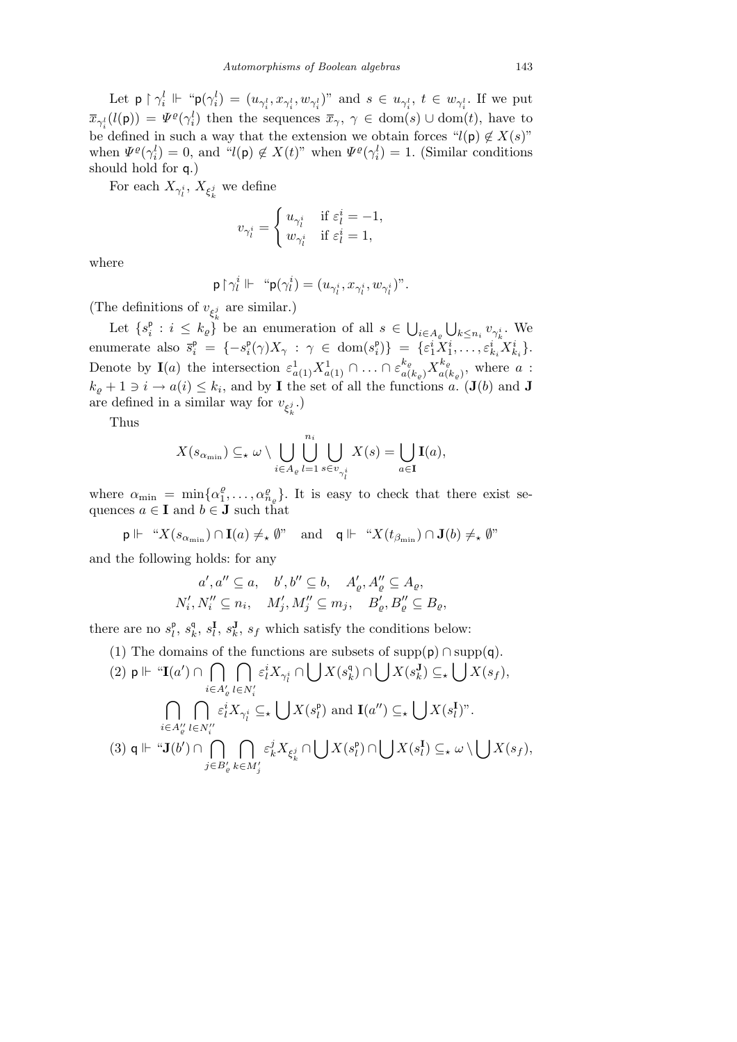Let  $p \restriction \gamma_i^l \Vdash \text{``} p(\gamma_i^l) = (u_{\gamma_i^l}, x_{\gamma_i^l}, w_{\gamma_i^l})$ " and  $s \in u_{\gamma_i^l}, t \in w_{\gamma_i^l}$ . If we put  $\bar{x}_{\gamma_i^l}(l(\mathsf{p})) = \Psi^{\varrho}(\gamma_i^l)$  then the sequences  $\bar{x}_{\gamma}, \gamma \in \text{dom}(s) \cup \text{dom}(t)$ , have to be defined in such a way that the extension we obtain forces " $l(p) \notin X(s)$ " when  $\Psi^{\varrho}(\gamma_i^l) = 0$ , and " $l(\mathsf{p}) \notin X(t)$ " when  $\Psi^{\varrho}(\gamma_i^l) = 1$ . (Similar conditions should hold for q.)

For each  $X_{\gamma^i_l}$ ,  $X_{\xi^j_k}$  we define

$$
v_{\gamma^i_l} = \begin{cases} u_{\gamma^i_l} & \text{if } \varepsilon^i_l = -1, \\ w_{\gamma^i_l} & \text{if } \varepsilon^i_l = 1, \end{cases}
$$

where

$$
\mathsf{p} \!\upharpoonright\! \gamma_{l}^{i}\Vdash\text{``}\mathsf{p}(\gamma_{l}^{i})=(u_{\gamma_{l}^{i}},x_{\gamma_{l}^{i}},w_{\gamma_{l}^{i}})^{v}.
$$

(The definitions of  $v_{\xi_k^j}$  are similar.)

Let  $\{s_i^p : i \leq k_g\}$  be an enumeration of all  $s \in$ S *i∈A%* S  $k \leq n_i v_{\gamma_k^i}$ . We enumerate also  $\bar{s}_i^p = \{-s_i^p(\gamma)X_\gamma : \gamma \in \text{dom}(s_i^p)\} = \{\varepsilon_1^i X_1^i, \ldots, \varepsilon_{k_i}^i X_{k_i}^i\}.$ Denote by **I**(*a*) the intersection  $\varepsilon_{a(1)}^1 X_{a(1)}^1 \cap \ldots \cap \varepsilon_{a(k_\varrho)}^{k_\varrho} X_{a(k_\varrho)}^{k_\varrho}$  $a_{a(k_{\varrho})}^{\kappa_{\varrho}},$  where  $a$  :  $k_{\varrho} + 1 \ni i \rightarrow a(i) \leq k_i$ , and by **I** the set of all the functions *a*. (**J**(*b*) and **J** are defined in a similar way for  $v_{\xi^j_k}$ .)

Thus

$$
X(s_{\alpha_{\min}}) \subseteq_{\star} \omega \setminus \bigcup_{i \in A_{\varrho}} \bigcup_{l=1}^{n_i} \bigcup_{s \in v_{\gamma_l^i}} X(s) = \bigcup_{a \in \mathbf{I}} \mathbf{I}(a),
$$

where  $\alpha_{\min} = \min\{\alpha_1^{\varrho}\}$  $\{a_1^{\varrho}, \ldots, a_{n_{\varrho}}^{\varrho}\}$ . It is easy to check that there exist sequences  $a \in I$  and  $b \in J$  such that

$$
\mathsf{p} \Vdash \text{``} X(s_{\alpha_{\min}}) \cap \mathbf{I}(a) \neq_{\star} \emptyset
$$
" and 
$$
\mathsf{q} \Vdash \text{``} X(t_{\beta_{\min}}) \cap \mathbf{J}(b) \neq_{\star} \emptyset
$$
"

and the following holds: for any

$$
a', a'' \subseteq a, \quad b', b'' \subseteq b, \quad A'_{\varrho}, A''_{\varrho} \subseteq A_{\varrho},
$$
  

$$
N'_{i}, N''_{i} \subseteq n_{i}, \quad M'_{j}, M''_{j} \subseteq m_{j}, \quad B'_{\varrho}, B''_{\varrho} \subseteq B_{\varrho},
$$

there are no  $s_l^{\text{p}}, s_k^{\text{q}}, s_l^{\text{I}}, s_k^{\text{J}}, s_f$  which satisfy the conditions below:

(1) The domains of the functions are subsets of supp(p)  $\cap$  supp(q).  $(2)$  p  $\Vdash$  "**I**(*a'*) ∩ *i*∈*A*<sup>*l*</sup><sub>*e*</sub></sub> *l*∈*N*<sup>*l*</sup><sub>*i*</sub>  $\sum_{i=1}^n e^{i\pi i}$  $\varepsilon_l^i X_{\gamma_l^i} \cap \bigcup X(s_k^{\mathfrak{q}}) \cap \bigcup X(s_k^{\mathbf{J}}) \subseteq \mathcal{L} \bigcup X(s_f)$ , *i*<sup>*∈A*</sup><sup>*0*</sup>  $\overline{\phantom{a}}$  $l ∈ N'_{i}$  $\varepsilon_l^i X_{\gamma_l^i} \subseteq \star$  $\mathbf{r}$  $X(s_l^p)$  and  $\mathbf{I}(a'') \subseteq \mathbf{A}$  $\mathbf{r}$  $X(s_l^{\mathbf{I}})^n$ .  $(3)$  q  $\Vdash$  " $J(b') \cap$  $\overline{\phantom{a}}$ *j∈B<sup>0</sup> %*  $\sim$  $k ∈ M'_j$ *ε j <sup>k</sup>X<sup>ξ</sup> j k ∩*  $\mathbf{r}$  $X(s_l^{\mathsf{p}}) \cap$  $\mathbf{r}$  $X(s_l^{\mathbf{I}}) \subseteq_{\star} \omega \setminus$  $\mathbf{r}$  $X(s_f)$ ,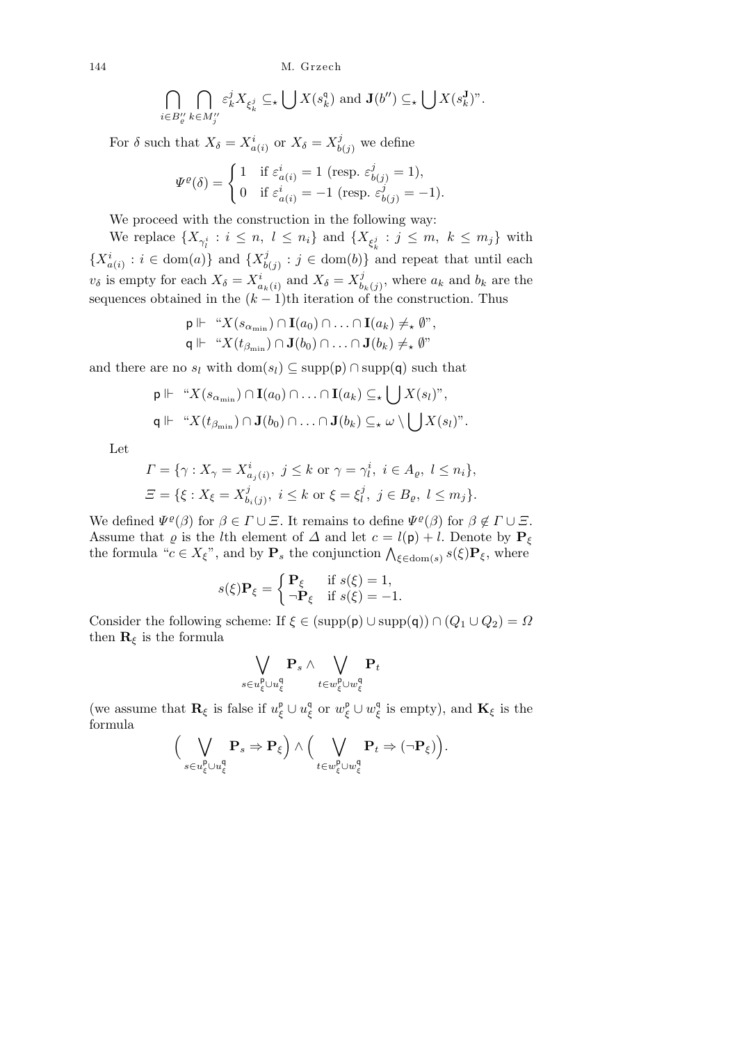144 M. Grzech

$$
\bigcap_{i\in B''_e}\bigcap_{k\in M''_j}\varepsilon_k^jX_{\xi_k^j}\subseteq_{\star}\bigcup X(s_k^{\mathfrak{q}})\text{ and }\mathbf{J}(b'')\subseteq_{\star}\bigcup X(s_k^{\mathbf{J}})^{\circ}.
$$

For  $\delta$  such that  $X_{\delta} = X_{a(i)}^i$  or  $X_{\delta} = X_b^j$  $\frac{\partial}{\partial b(j)}$  we define

$$
\Psi^{\varrho}(\delta) = \begin{cases} 1 & \text{if } \varepsilon_{a(i)}^i = 1 \text{ (resp. } \varepsilon_{b(j)}^j = 1), \\ 0 & \text{if } \varepsilon_{a(i)}^i = -1 \text{ (resp. } \varepsilon_{b(j)}^j = -1). \end{cases}
$$

We proceed with the construction in the following way:

We replace  $\{X_{\gamma_l^i} : i \leq n, l \leq n_i\}$  and  $\{X_{\xi_k^j} : j \leq m, k \leq m_j\}$  with  ${X_{a(i)}^i : i \in \text{dom}(a)}$  and  ${X_{b(j)}^j : j \in \text{dom}(b)}$  is  $b(j)$ :  $j \in \text{dom}(b)$  and repeat that until each  $v_{\delta}$  is empty for each  $X_{\delta} = X_{a_k(i)}^i$  and  $X_{\delta} = X_b^j$  $\delta_{b_k(j)}^j$ , where  $a_k$  and  $b_k$  are the sequences obtained in the  $(k-1)$ th iteration of the construction. Thus

$$
\mathsf{p} \Vdash \text{``} X(s_{\alpha_{\min}}) \cap \mathbf{I}(a_0) \cap \ldots \cap \mathbf{I}(a_k) \neq_{\star} \emptyset,
$$
  

$$
\mathsf{q} \Vdash \text{``} X(t_{\beta_{\min}}) \cap \mathbf{J}(b_0) \cap \ldots \cap \mathbf{J}(b_k) \neq_{\star} \emptyset,
$$

and there are no  $s_l$  with dom( $s_l$ )  $\subseteq$  supp( $\mathsf{p}$ )  $\cap$  supp( $\mathsf{q}$ ) such that

$$
\mathsf{p} \Vdash \text{``} X(s_{\alpha_{\min}}) \cap \mathbf{I}(a_0) \cap \ldots \cap \mathbf{I}(a_k) \subseteq_{\star} \bigcup X(s_l)\text{''},
$$
  

$$
\mathsf{q} \Vdash \text{``} X(t_{\beta_{\min}}) \cap \mathbf{J}(b_0) \cap \ldots \cap \mathbf{J}(b_k) \subseteq_{\star} \omega \setminus \bigcup X(s_l)\text{''}.
$$

Let

$$
\Gamma = \{ \gamma : X_{\gamma} = X_{a_j(i)}^i, \ j \le k \text{ or } \gamma = \gamma_l^i, \ i \in A_{\varrho}, \ l \le n_i \},
$$
  

$$
\Xi = \{ \xi : X_{\xi} = X_{b_i(j)}^j, \ i \le k \text{ or } \xi = \xi_l^j, \ j \in B_{\varrho}, \ l \le m_j \}.
$$

We defined  $\Psi^{\varrho}(\beta)$  for  $\beta \in \Gamma \cup \Xi$ . It remains to define  $\Psi^{\varrho}(\beta)$  for  $\beta \notin \Gamma \cup \Xi$ . Assume that  $\varrho$  is the *l*th element of  $\varDelta$  and let  $c = l(p) + l$ . Denote by  $P_{\xi}$ the formula "*c*  $\in X_{\xi}$ ", and by  $\mathbf{P}_s$  the conjunction  $\bigwedge_{\xi \in \text{dom}(s)} s(\xi) \mathbf{P}_{\xi}$ , where

$$
s(\xi)\mathbf{P}_{\xi} = \begin{cases} \mathbf{P}_{\xi} & \text{if } s(\xi) = 1, \\ \neg \mathbf{P}_{\xi} & \text{if } s(\xi) = -1. \end{cases}
$$

Consider the following scheme: If  $\xi \in (\text{supp}(\mathsf{p}) \cup \text{supp}(\mathsf{q})) \cap (Q_1 \cup Q_2) = \Omega$ then  $\mathbf{R}_{\xi}$  is the formula

$$
\bigvee_{s\in u_{\xi}^{\mathbf{p}}\cup u_{\xi}^{\mathbf{q}}} \mathbf{P}_{s}\wedge \bigvee_{t\in w_{\xi}^{\mathbf{p}}\cup w_{\xi}^{\mathbf{q}}}\mathbf{P}_{t}
$$

(we assume that  $\mathbf{R}_{\xi}$  is false if  $u_{\xi}^{\mathsf{p}} \cup u_{\xi}^{\mathsf{q}}$  or  $w_{\xi}^{\mathsf{p}} \cup w_{\xi}^{\mathsf{q}}$  is empty), and  $\mathbf{K}_{\xi}$  is the formula  $\sqrt{2}$  $\mathbf{r}$  $\sqrt{2}$  $\mathbf{r}$ 

$$
\Big(\bigvee_{s\in u_{\xi}^{\mathbf{p}}\cup u_{\xi}^{\mathbf{q}}}\mathbf{P}_{s}\Rightarrow\mathbf{P}_{\xi}\Big)\wedge\Big(\bigvee_{t\in w_{\xi}^{\mathbf{p}}\cup w_{\xi}^{\mathbf{q}}}\mathbf{P}_{t}\Rightarrow(\neg\mathbf{P}_{\xi})\Big).
$$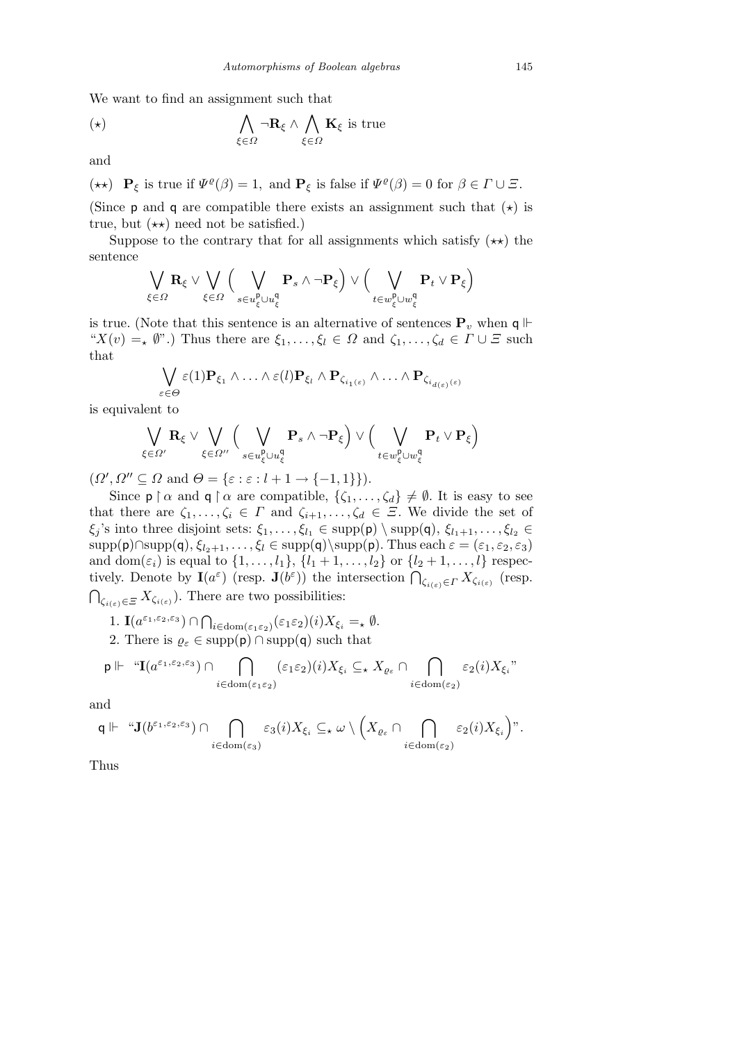We want to find an assignment such that

$$
(\star) \qquad \qquad \bigwedge_{\xi \in \Omega} \neg \mathbf{R}_{\xi} \land \bigwedge_{\xi \in \Omega} \mathbf{K}_{\xi} \text{ is true}
$$

and

$$
(\star \star)
$$
  $\mathbf{P}_{\xi}$  is true if  $\Psi^{\varrho}(\beta) = 1$ , and  $\mathbf{P}_{\xi}$  is false if  $\Psi^{\varrho}(\beta) = 0$  for  $\beta \in \Gamma \cup \Xi$ .

(Since  $p$  and  $q$  are compatible there exists an assignment such that  $(\star)$  is true, but  $(\star \star)$  need not be satisfied.)

Suppose to the contrary that for all assignments which satisfy  $(\star \star)$  the sentence  $\sqrt{2}$  $\mathbf{r}$  $\sqrt{2}$  $\mathbf{r}$ 

$$
\bigvee_{\xi\in\varOmega}\mathbf{R}_{\xi}\vee\bigvee_{\xi\in\varOmega}\Big(\bigvee_{s\in u_{\xi}^{\mathbf{p}}\cup u_{\xi}^{\mathbf{q}}}\mathbf{P}_{s}\wedge\neg\mathbf{P}_{\xi}\Big)\vee\Big(\bigvee_{t\in w_{\xi}^{\mathbf{p}}\cup w_{\xi}^{\mathbf{q}}}\mathbf{P}_{t}\vee\mathbf{P}_{\xi}\Big)
$$

is true. (Note that this sentence is an alternative of sentences  $P_v$  when  $q \Vdash$ " $X(v) = X(v)$ ".) Thus there are  $\xi_1, \ldots, \xi_l \in \Omega$  and  $\zeta_1, \ldots, \zeta_d \in \Gamma \cup \Xi$  such that  $\overline{a}$ 

$$
\bigvee_{\varepsilon\in\Theta}\varepsilon(1)\mathbf{P}_{\xi_1}\wedge\ldots\wedge\varepsilon(l)\mathbf{P}_{\xi_l}\wedge\mathbf{P}_{\zeta_{i_1(\varepsilon)}}\wedge\ldots\wedge\mathbf{P}_{\zeta_{i_{d(\varepsilon)}(\varepsilon)}}
$$

is equivalent to

$$
\bigvee_{\xi \in \Omega'} \mathbf{R}_{\xi} \vee \bigvee_{\xi \in \Omega''} \Big( \bigvee_{s \in u_{\xi}^{\mathsf{p}} \cup u_{\xi}^{\mathsf{q}}} \mathbf{P}_{s} \wedge \neg \mathbf{P}_{\xi} \Big) \vee \Big( \bigvee_{t \in w_{\xi}^{\mathsf{p}} \cup w_{\xi}^{\mathsf{q}}} \mathbf{P}_{t} \vee \mathbf{P}_{\xi} \Big)
$$

 $(\Omega', \Omega'' \subseteq \Omega \text{ and } \Theta = \{\varepsilon : \varepsilon : l+1 \to \{-1,1\}\}).$ 

Since  $p \restriction \alpha$  and  $q \restriction \alpha$  are compatible,  $\{\zeta_1, \ldots, \zeta_d\} \neq \emptyset$ . It is easy to see that there are  $\zeta_1, \ldots, \zeta_i \in \Gamma$  and  $\zeta_{i+1}, \ldots, \zeta_d \in \Xi$ . We divide the set of *ξ*<sub>*j*</sub>'s into three disjoint sets:  $\xi_1, \ldots, \xi_{l_1} \in \text{supp}(\mathsf{p}) \setminus \text{supp}(\mathsf{q}), \xi_{l_1+1}, \ldots, \xi_{l_2} \in$  $supp(\mathbf{p}) \cap supp(\mathbf{q}), \xi_{l_2+1}, \ldots, \xi_l \in supp(\mathbf{q}) \setminus supp(\mathbf{p}).$  Thus each  $\varepsilon = (\varepsilon_1, \varepsilon_2, \varepsilon_3)$ and dom( $\varepsilon_i$ ) is equal to  $\{1, \ldots, l_1\}$ ,  $\{l_1 + 1, \ldots, l_2\}$  or  $\{l_2 + 1, \ldots, l\}$  respec- $\Omega$  (resp. **J**(*b*<sup>ε</sup>)) the intersection  $\bigcap_{\zeta_{i(\varepsilon)} \in \Gamma} X_{\zeta_{i(\varepsilon)}}$  (resp.  $\zeta_{i(\varepsilon)} \in E$  *X* $\zeta_{i(\varepsilon)}$ ). There are two possibilities:

1. 
$$
\mathbf{I}(a^{\varepsilon_1,\varepsilon_2,\varepsilon_3}) \cap \bigcap_{i \in \text{dom}(\varepsilon_1\varepsilon_2)} (\varepsilon_1\varepsilon_2)(i) X_{\xi_i} = \mathbf{I} \emptyset.
$$

2. There is  $\varrho_{\varepsilon} \in \text{supp}(\mathsf{p}) \cap \text{supp}(\mathsf{q})$  such that

$$
\mathsf{p} \Vdash \text{``}\mathbf{I}(a^{\varepsilon_1,\varepsilon_2,\varepsilon_3}) \cap \bigcap_{i \in \text{dom}(\varepsilon_1\varepsilon_2)} (\varepsilon_1\varepsilon_2)(i) X_{\xi_i} \subseteq_{\star} X_{\varrho_{\varepsilon}} \cap \bigcap_{i \in \text{dom}(\varepsilon_2)} \varepsilon_2(i) X_{\xi_i} \text{''}
$$

and

$$
\mathsf{q} \Vdash \text{``}\mathbf{J}(b^{\varepsilon_1,\varepsilon_2,\varepsilon_3}) \cap \bigcap_{i \in \text{dom}(\varepsilon_3)} \varepsilon_3(i) X_{\xi_i} \subseteq_{\star} \omega \setminus \Big(X_{\varrho_{\varepsilon}} \cap \bigcap_{i \in \text{dom}(\varepsilon_2)} \varepsilon_2(i) X_{\xi_i}\Big)\text{''}.
$$

Thus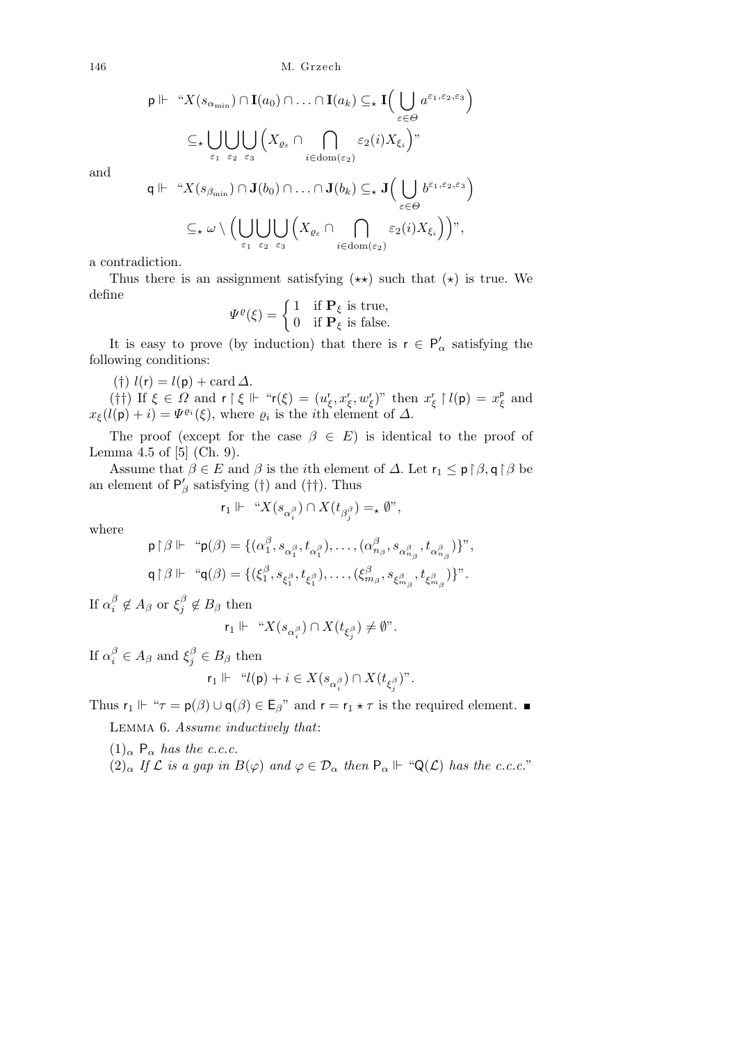146 M. Grzech

$$
\mathsf{p} \Vdash \text{``} X(s_{\alpha_{\min}}) \cap \mathbf{I}(a_0) \cap \ldots \cap \mathbf{I}(a_k) \subseteq_{\star} \mathbf{I} \Big( \bigcup_{\varepsilon \in \Theta} a^{\varepsilon_1, \varepsilon_2, \varepsilon_3} \Big)
$$
  

$$
\subseteq_{\star} \bigcup_{\varepsilon_1} \bigcup_{\varepsilon_2} \bigcup_{\varepsilon_3} \Big( X_{\varrho_{\varepsilon}} \cap \bigcap_{i \in \text{dom}(\varepsilon_2)} \varepsilon_2(i) X_{\xi_i} \Big)
$$
  

$$
\pi \Vdash \text{``} Y(\varepsilon) \cap \Omega(k) \cap \Omega(k) \subseteq \mathbf{I}(k) \subseteq \mathbf{I} \Big( \bigcup_{i \in \{1, \varepsilon_2, \varepsilon_3\}} \varepsilon_2(i) \big)
$$

and

$$
\mathsf{q} \Vdash \text{``} X(s_{\beta_{\min}}) \cap \mathbf{J}(b_0) \cap \ldots \cap \mathbf{J}(b_k) \subseteq_{\star} \mathbf{J}\Big(\bigcup_{\varepsilon \in \Theta} b^{\varepsilon_1, \varepsilon_2, \varepsilon_3}\Big)
$$

$$
\subseteq_{\star} \omega \setminus \Big(\bigcup_{\varepsilon_1} \bigcup_{\varepsilon_2} \bigcup_{\varepsilon_3} \Big(X_{\varrho_{\varepsilon}} \cap \bigcap_{i \in \text{dom}(\varepsilon_2)} \varepsilon_2(i) X_{\xi_i}\Big)\Big),
$$

a contradiction.

Thus there is an assignment satisfying  $(\star \star)$  such that  $(\star)$  is true. We define

$$
\Psi^{\varrho}(\xi) = \begin{cases} 1 & \text{if } \mathbf{P}_{\xi} \text{ is true,} \\ 0 & \text{if } \mathbf{P}_{\xi} \text{ is false.} \end{cases}
$$

It is easy to prove (by induction) that there is  $r \in P'_\alpha$  satisfying the following conditions:

(†)  $l(r) = l(p) + \text{card } \Delta$ .

( $\dagger$ †) If  $\xi \in \Omega$  and  $\mathsf{r} \upharpoonright \xi \Vdash \text{``}\mathsf{r}(\xi) = (u_{\xi}^{\mathsf{r}}, x_{\xi}^{\mathsf{r}}, w_{\xi}^{\mathsf{r}})$ " then  $x_{\xi}^{\mathsf{r}} \upharpoonright l(\mathsf{p}) = x_{\xi}^{\mathsf{p}}$  and  $x_{\xi}(l(\mathsf{p})+i) = \Psi^{\varrho_i}(\xi)$ , where  $\varrho_i$  is the *i*th element of  $\Delta$ .

The proof (except for the case  $\beta \in E$ ) is identical to the proof of Lemma 4.5 of [5] (Ch. 9).

Assume that  $\beta \in E$  and  $\beta$  is the *i*<sup>th</sup> element of  $\Delta$ . Let  $\mathsf{r}_1 \leq \mathsf{p} \upharpoonright \beta$ ,  $\mathsf{q} \upharpoonright \beta$  be an element of  $P'_{\beta}$  satisfying (†) and (††). Thus

$$
\mathsf{r}_1 \Vdash \text{``} X(s_{\alpha^\beta_i}) \cap X(t_{\beta^\beta_j}) =_\star \emptyset",
$$

where

$$
\begin{aligned} \mathsf{p}\!\upharpoonright\!\beta \Vdash \quad &\text{``}\mathsf{p}(\beta) = \{(\alpha_1^\beta, s_{\alpha_1^\beta}, t_{\alpha_1^\beta}), \dots, (\alpha_{n_\beta}^\beta, s_{\alpha_{n_\beta}^\beta}, t_{\alpha_{n_\beta}^\beta})\} \text{''}, \\ \mathsf{q}\!\upharpoonright\!\beta \Vdash \quad &\text{``}\mathsf{q}(\beta) = \{(\xi_1^\beta, s_{\xi_1^\beta}, t_{\xi_1^\beta}), \dots, (\xi_{m_\beta}^\beta, s_{\xi_{m_\beta}^\beta}, t_{\xi_{m_\beta}^\beta})\} \text{''}. \end{aligned}
$$

If  $\alpha_i^{\beta}$  $\frac{\beta}{i} \notin A_{\beta}$  or  $\xi_j^{\beta}$  $j^{\beta} \notin B_{\beta}$  then

$$
\mathsf{r}_1 \Vdash \text{``} X(s_{\alpha^\beta_i}) \cap X(t_{\xi^\beta_j}) \neq \emptyset".
$$

If  $\alpha_i^{\beta} \in A_{\beta}$  and  $\xi_j^{\beta} \in B_{\beta}$  then

$$
\mathsf{r}_1 \Vdash \text{``$\mathcal{l}(\mathsf{p})$} + i \in X(s_{\alpha_i^{\beta}}) \cap X(t_{\xi_j^{\beta}}) \text{''}.
$$

Thus  $r_1 \Vdash ``\tau = p(\beta) \cup q(\beta) \in E_\beta"$  and  $r = r_1 \star \tau$  is the required element.

Lemma 6. *Assume inductively that*:

 $(1)$ <sub>α</sub> P<sub>α</sub> *has the c.c.c.* 

 $(2)$ <sup>*α*</sup> *If*  $\mathcal L$  *is a gap in*  $B(\varphi)$  *and*  $\varphi \in \mathcal D_\alpha$  *then*  $P_\alpha \Vdash ``\mathsf{Q}(\mathcal L)$  *has the c.c.c.*"